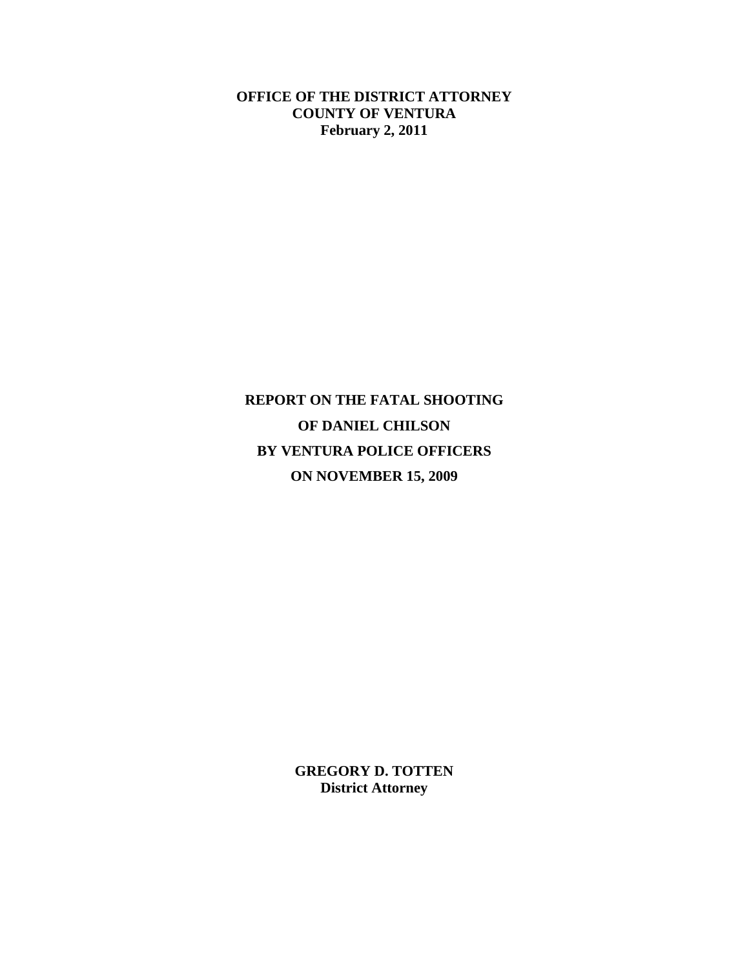**OFFICE OF THE DISTRICT ATTORNEY COUNTY OF VENTURA February 2, 2011** 

**REPORT ON THE FATAL SHOOTING OF DANIEL CHILSON BY VENTURA POLICE OFFICERS ON NOVEMBER 15, 2009**

> **GREGORY D. TOTTEN District Attorney**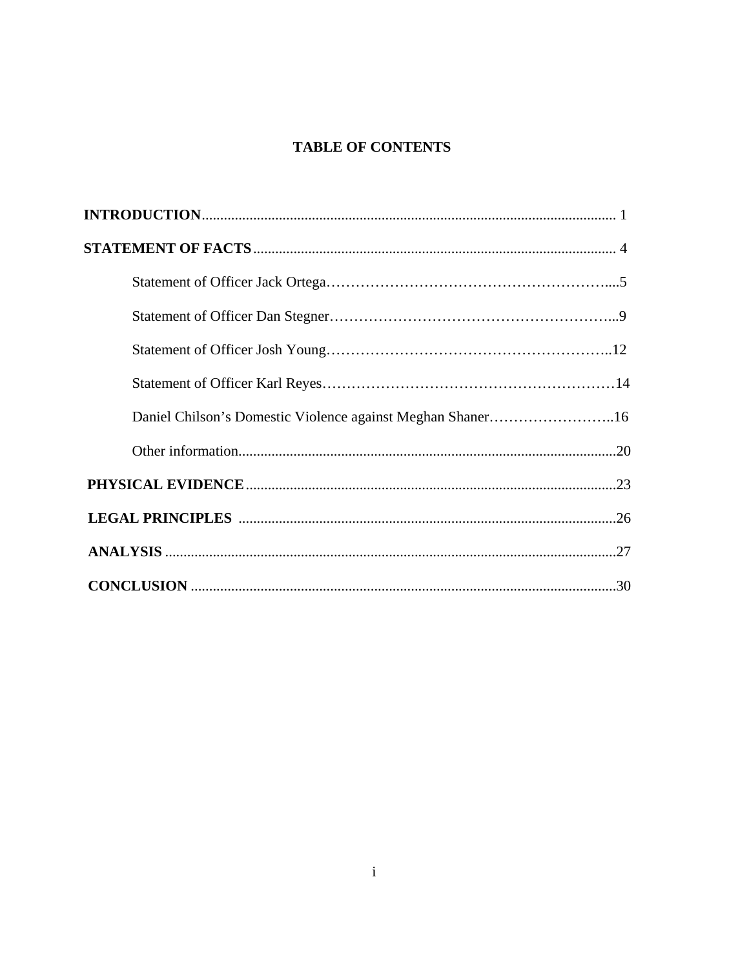# **TABLE OF CONTENTS**

| Daniel Chilson's Domestic Violence against Meghan Shaner16 |  |
|------------------------------------------------------------|--|
|                                                            |  |
|                                                            |  |
|                                                            |  |
|                                                            |  |
|                                                            |  |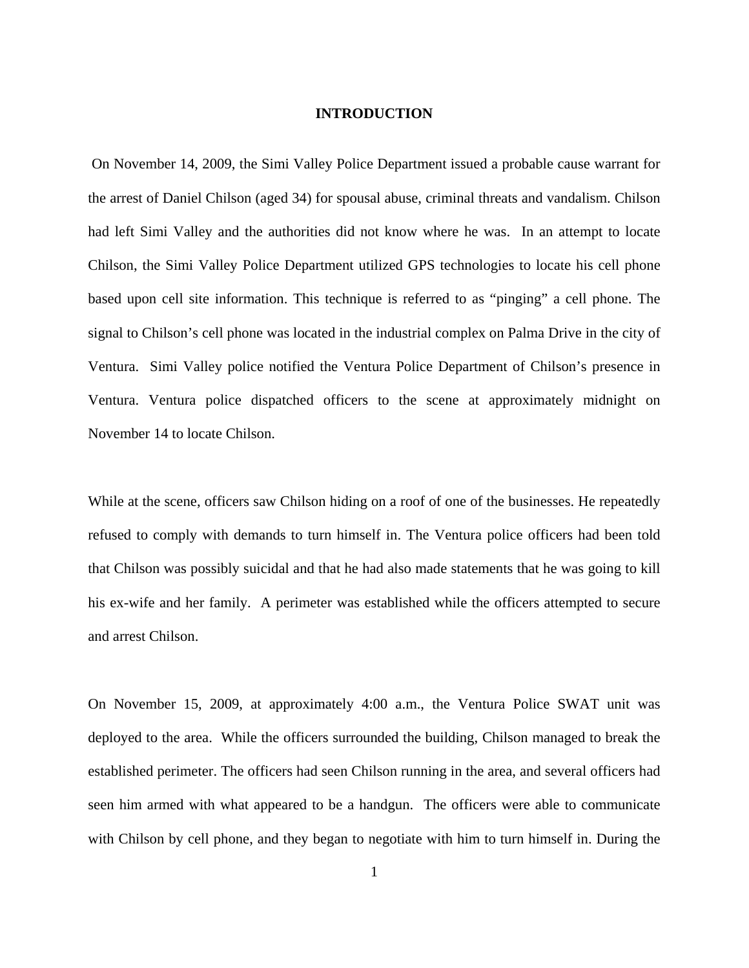#### **INTRODUCTION**

 On November 14, 2009, the Simi Valley Police Department issued a probable cause warrant for the arrest of Daniel Chilson (aged 34) for spousal abuse, criminal threats and vandalism. Chilson had left Simi Valley and the authorities did not know where he was. In an attempt to locate Chilson, the Simi Valley Police Department utilized GPS technologies to locate his cell phone based upon cell site information. This technique is referred to as "pinging" a cell phone. The signal to Chilson's cell phone was located in the industrial complex on Palma Drive in the city of Ventura. Simi Valley police notified the Ventura Police Department of Chilson's presence in Ventura. Ventura police dispatched officers to the scene at approximately midnight on November 14 to locate Chilson.

While at the scene, officers saw Chilson hiding on a roof of one of the businesses. He repeatedly refused to comply with demands to turn himself in. The Ventura police officers had been told that Chilson was possibly suicidal and that he had also made statements that he was going to kill his ex-wife and her family. A perimeter was established while the officers attempted to secure and arrest Chilson.

On November 15, 2009, at approximately 4:00 a.m., the Ventura Police SWAT unit was deployed to the area. While the officers surrounded the building, Chilson managed to break the established perimeter. The officers had seen Chilson running in the area, and several officers had seen him armed with what appeared to be a handgun. The officers were able to communicate with Chilson by cell phone, and they began to negotiate with him to turn himself in. During the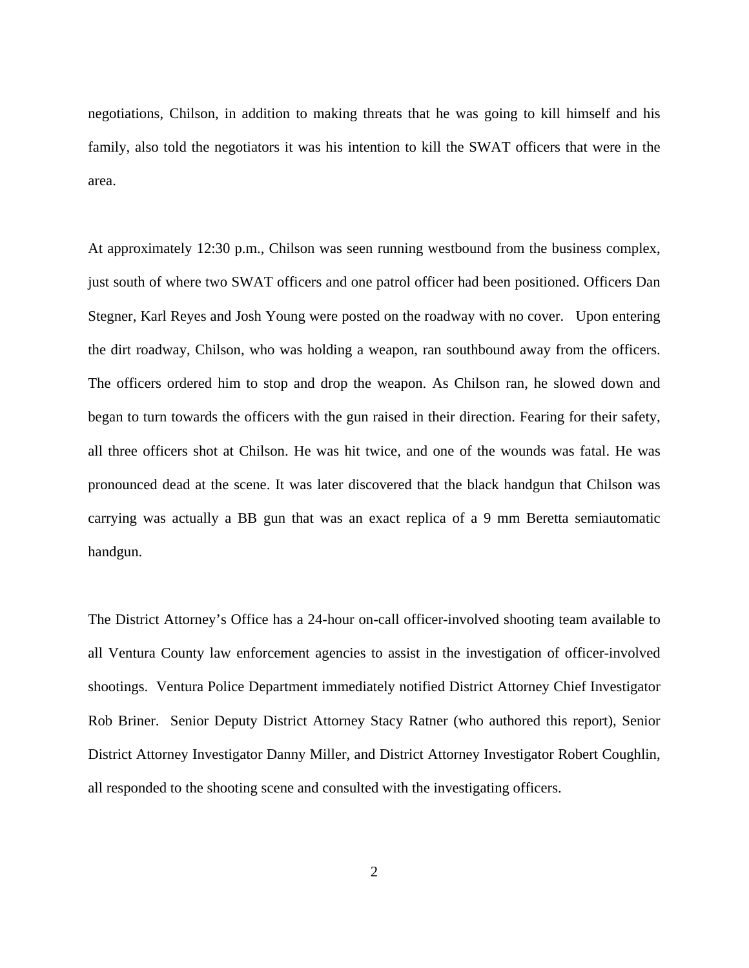negotiations, Chilson, in addition to making threats that he was going to kill himself and his family, also told the negotiators it was his intention to kill the SWAT officers that were in the area.

At approximately 12:30 p.m., Chilson was seen running westbound from the business complex, just south of where two SWAT officers and one patrol officer had been positioned. Officers Dan Stegner, Karl Reyes and Josh Young were posted on the roadway with no cover. Upon entering the dirt roadway, Chilson, who was holding a weapon, ran southbound away from the officers. The officers ordered him to stop and drop the weapon. As Chilson ran, he slowed down and began to turn towards the officers with the gun raised in their direction. Fearing for their safety, all three officers shot at Chilson. He was hit twice, and one of the wounds was fatal. He was pronounced dead at the scene. It was later discovered that the black handgun that Chilson was carrying was actually a BB gun that was an exact replica of a 9 mm Beretta semiautomatic handgun.

The District Attorney's Office has a 24-hour on-call officer-involved shooting team available to all Ventura County law enforcement agencies to assist in the investigation of officer-involved shootings. Ventura Police Department immediately notified District Attorney Chief Investigator Rob Briner. Senior Deputy District Attorney Stacy Ratner (who authored this report), Senior District Attorney Investigator Danny Miller, and District Attorney Investigator Robert Coughlin, all responded to the shooting scene and consulted with the investigating officers.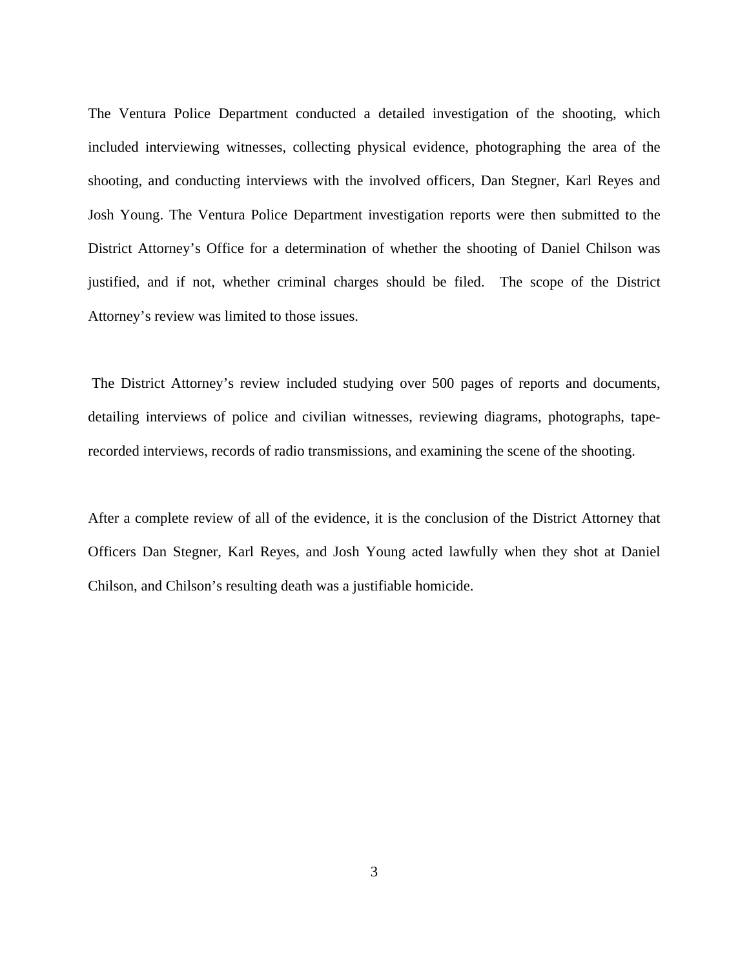The Ventura Police Department conducted a detailed investigation of the shooting, which included interviewing witnesses, collecting physical evidence, photographing the area of the shooting, and conducting interviews with the involved officers, Dan Stegner, Karl Reyes and Josh Young. The Ventura Police Department investigation reports were then submitted to the District Attorney's Office for a determination of whether the shooting of Daniel Chilson was justified, and if not, whether criminal charges should be filed. The scope of the District Attorney's review was limited to those issues.

 The District Attorney's review included studying over 500 pages of reports and documents, detailing interviews of police and civilian witnesses, reviewing diagrams, photographs, taperecorded interviews, records of radio transmissions, and examining the scene of the shooting.

After a complete review of all of the evidence, it is the conclusion of the District Attorney that Officers Dan Stegner, Karl Reyes, and Josh Young acted lawfully when they shot at Daniel Chilson, and Chilson's resulting death was a justifiable homicide.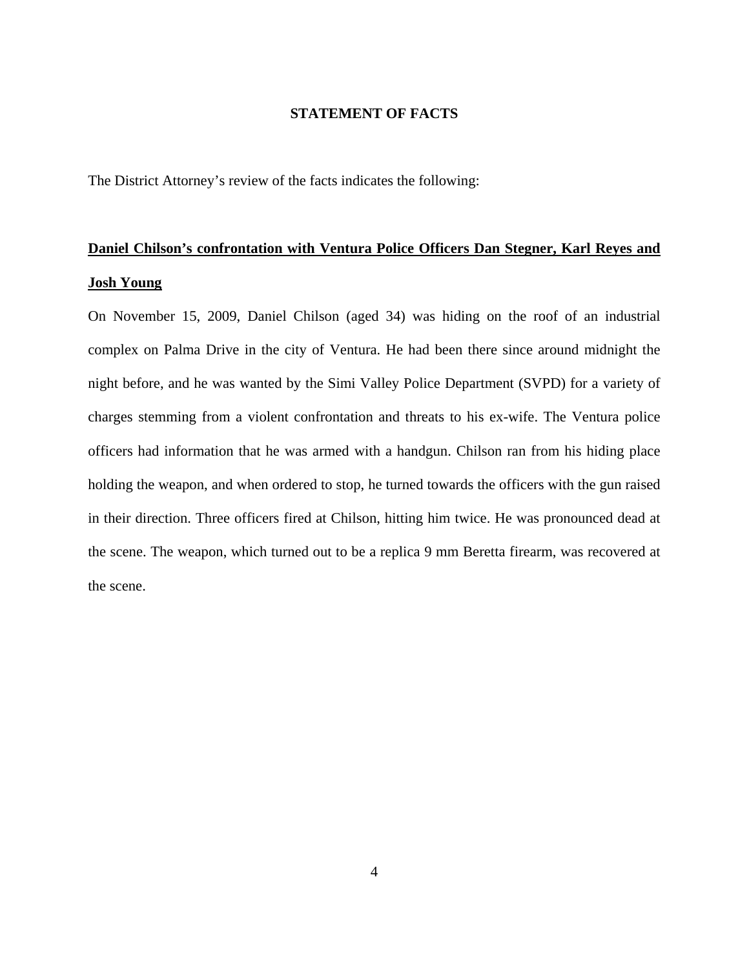#### **STATEMENT OF FACTS**

The District Attorney's review of the facts indicates the following:

# **Daniel Chilson's confrontation with Ventura Police Officers Dan Stegner, Karl Reyes and Josh Young**

On November 15, 2009, Daniel Chilson (aged 34) was hiding on the roof of an industrial complex on Palma Drive in the city of Ventura. He had been there since around midnight the night before, and he was wanted by the Simi Valley Police Department (SVPD) for a variety of charges stemming from a violent confrontation and threats to his ex-wife. The Ventura police officers had information that he was armed with a handgun. Chilson ran from his hiding place holding the weapon, and when ordered to stop, he turned towards the officers with the gun raised in their direction. Three officers fired at Chilson, hitting him twice. He was pronounced dead at the scene. The weapon, which turned out to be a replica 9 mm Beretta firearm, was recovered at the scene.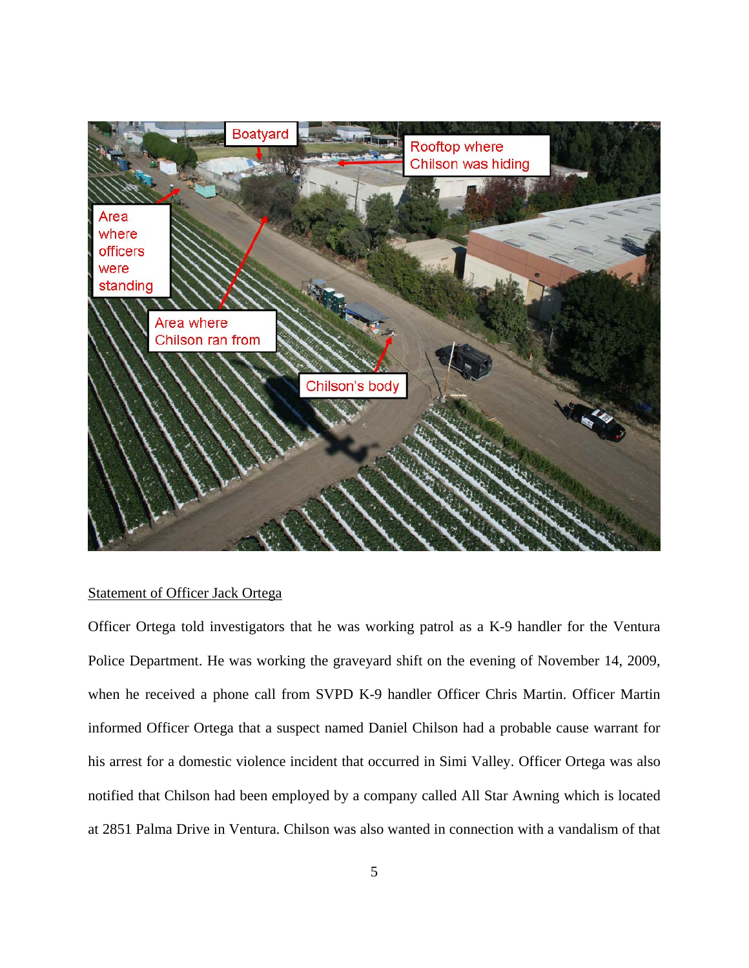

## Statement of Officer Jack Ortega

Officer Ortega told investigators that he was working patrol as a K-9 handler for the Ventura Police Department. He was working the graveyard shift on the evening of November 14, 2009, when he received a phone call from SVPD K-9 handler Officer Chris Martin. Officer Martin informed Officer Ortega that a suspect named Daniel Chilson had a probable cause warrant for his arrest for a domestic violence incident that occurred in Simi Valley. Officer Ortega was also notified that Chilson had been employed by a company called All Star Awning which is located at 2851 Palma Drive in Ventura. Chilson was also wanted in connection with a vandalism of that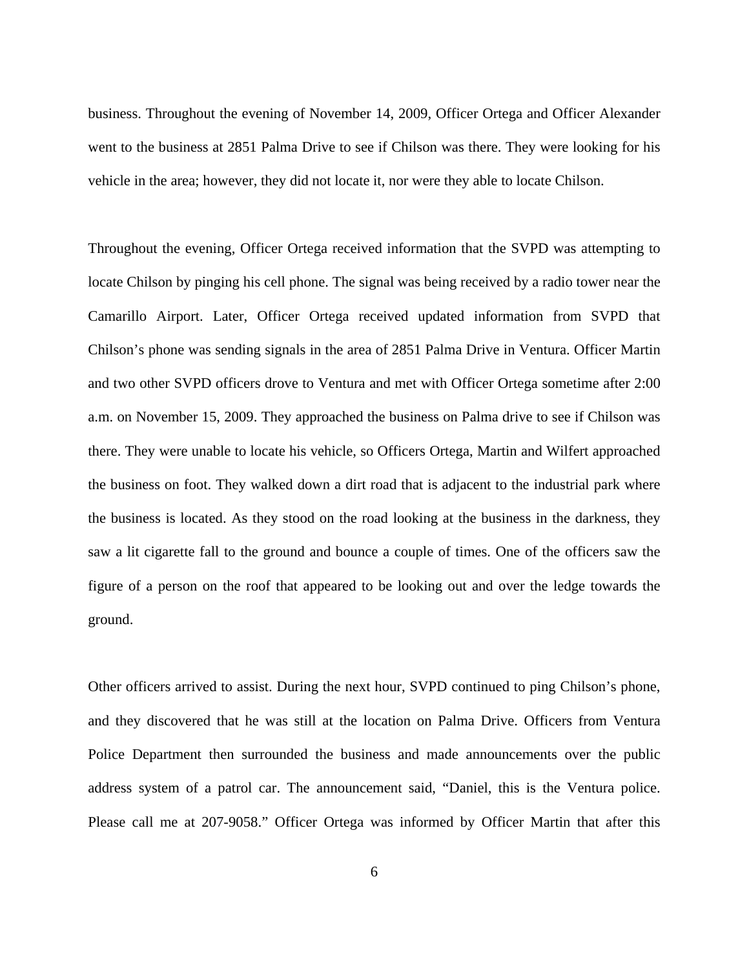business. Throughout the evening of November 14, 2009, Officer Ortega and Officer Alexander went to the business at 2851 Palma Drive to see if Chilson was there. They were looking for his vehicle in the area; however, they did not locate it, nor were they able to locate Chilson.

Throughout the evening, Officer Ortega received information that the SVPD was attempting to locate Chilson by pinging his cell phone. The signal was being received by a radio tower near the Camarillo Airport. Later, Officer Ortega received updated information from SVPD that Chilson's phone was sending signals in the area of 2851 Palma Drive in Ventura. Officer Martin and two other SVPD officers drove to Ventura and met with Officer Ortega sometime after 2:00 a.m. on November 15, 2009. They approached the business on Palma drive to see if Chilson was there. They were unable to locate his vehicle, so Officers Ortega, Martin and Wilfert approached the business on foot. They walked down a dirt road that is adjacent to the industrial park where the business is located. As they stood on the road looking at the business in the darkness, they saw a lit cigarette fall to the ground and bounce a couple of times. One of the officers saw the figure of a person on the roof that appeared to be looking out and over the ledge towards the ground.

Other officers arrived to assist. During the next hour, SVPD continued to ping Chilson's phone, and they discovered that he was still at the location on Palma Drive. Officers from Ventura Police Department then surrounded the business and made announcements over the public address system of a patrol car. The announcement said, "Daniel, this is the Ventura police. Please call me at 207-9058." Officer Ortega was informed by Officer Martin that after this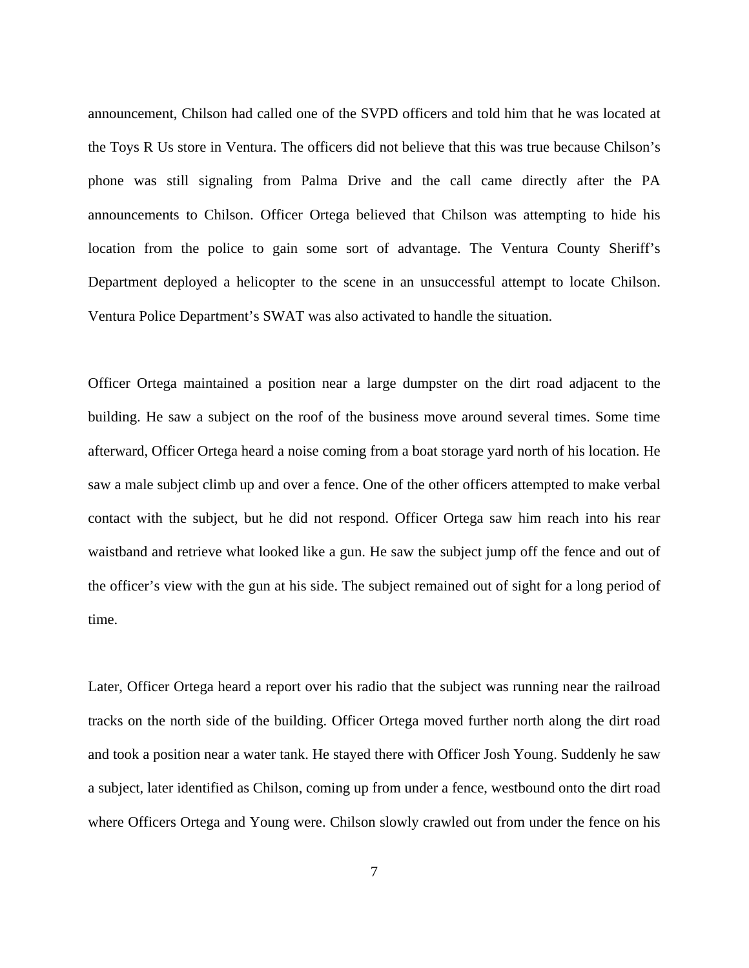announcement, Chilson had called one of the SVPD officers and told him that he was located at the Toys R Us store in Ventura. The officers did not believe that this was true because Chilson's phone was still signaling from Palma Drive and the call came directly after the PA announcements to Chilson. Officer Ortega believed that Chilson was attempting to hide his location from the police to gain some sort of advantage. The Ventura County Sheriff's Department deployed a helicopter to the scene in an unsuccessful attempt to locate Chilson. Ventura Police Department's SWAT was also activated to handle the situation.

Officer Ortega maintained a position near a large dumpster on the dirt road adjacent to the building. He saw a subject on the roof of the business move around several times. Some time afterward, Officer Ortega heard a noise coming from a boat storage yard north of his location. He saw a male subject climb up and over a fence. One of the other officers attempted to make verbal contact with the subject, but he did not respond. Officer Ortega saw him reach into his rear waistband and retrieve what looked like a gun. He saw the subject jump off the fence and out of the officer's view with the gun at his side. The subject remained out of sight for a long period of time.

Later, Officer Ortega heard a report over his radio that the subject was running near the railroad tracks on the north side of the building. Officer Ortega moved further north along the dirt road and took a position near a water tank. He stayed there with Officer Josh Young. Suddenly he saw a subject, later identified as Chilson, coming up from under a fence, westbound onto the dirt road where Officers Ortega and Young were. Chilson slowly crawled out from under the fence on his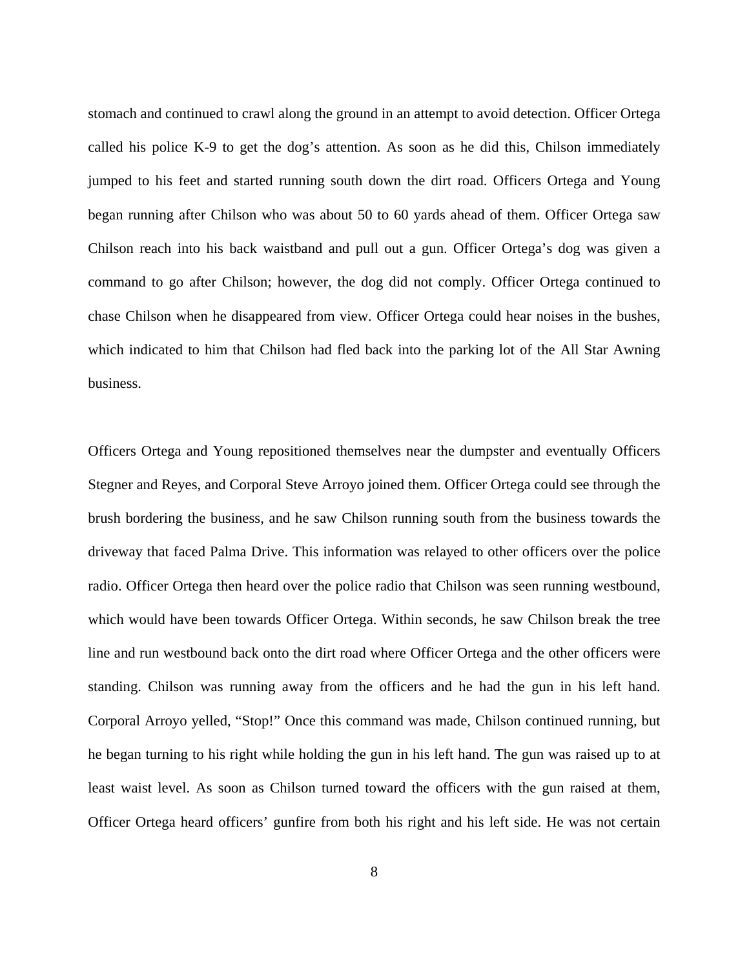stomach and continued to crawl along the ground in an attempt to avoid detection. Officer Ortega called his police K-9 to get the dog's attention. As soon as he did this, Chilson immediately jumped to his feet and started running south down the dirt road. Officers Ortega and Young began running after Chilson who was about 50 to 60 yards ahead of them. Officer Ortega saw Chilson reach into his back waistband and pull out a gun. Officer Ortega's dog was given a command to go after Chilson; however, the dog did not comply. Officer Ortega continued to chase Chilson when he disappeared from view. Officer Ortega could hear noises in the bushes, which indicated to him that Chilson had fled back into the parking lot of the All Star Awning business.

Officers Ortega and Young repositioned themselves near the dumpster and eventually Officers Stegner and Reyes, and Corporal Steve Arroyo joined them. Officer Ortega could see through the brush bordering the business, and he saw Chilson running south from the business towards the driveway that faced Palma Drive. This information was relayed to other officers over the police radio. Officer Ortega then heard over the police radio that Chilson was seen running westbound, which would have been towards Officer Ortega. Within seconds, he saw Chilson break the tree line and run westbound back onto the dirt road where Officer Ortega and the other officers were standing. Chilson was running away from the officers and he had the gun in his left hand. Corporal Arroyo yelled, "Stop!" Once this command was made, Chilson continued running, but he began turning to his right while holding the gun in his left hand. The gun was raised up to at least waist level. As soon as Chilson turned toward the officers with the gun raised at them, Officer Ortega heard officers' gunfire from both his right and his left side. He was not certain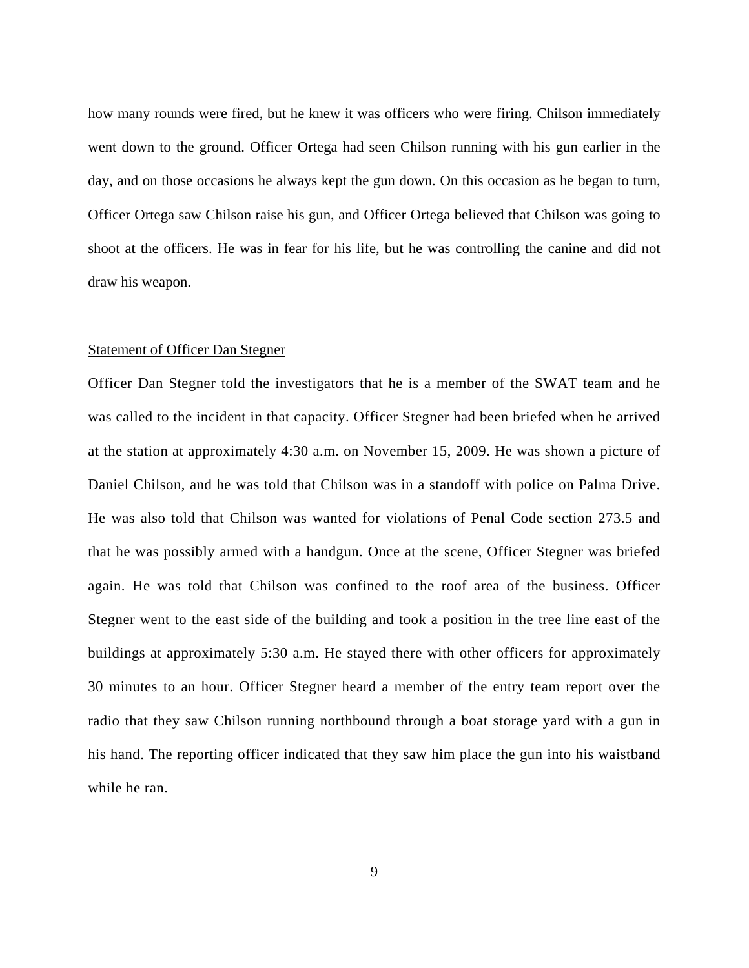how many rounds were fired, but he knew it was officers who were firing. Chilson immediately went down to the ground. Officer Ortega had seen Chilson running with his gun earlier in the day, and on those occasions he always kept the gun down. On this occasion as he began to turn, Officer Ortega saw Chilson raise his gun, and Officer Ortega believed that Chilson was going to shoot at the officers. He was in fear for his life, but he was controlling the canine and did not draw his weapon.

#### Statement of Officer Dan Stegner

Officer Dan Stegner told the investigators that he is a member of the SWAT team and he was called to the incident in that capacity. Officer Stegner had been briefed when he arrived at the station at approximately 4:30 a.m. on November 15, 2009. He was shown a picture of Daniel Chilson, and he was told that Chilson was in a standoff with police on Palma Drive. He was also told that Chilson was wanted for violations of Penal Code section 273.5 and that he was possibly armed with a handgun. Once at the scene, Officer Stegner was briefed again. He was told that Chilson was confined to the roof area of the business. Officer Stegner went to the east side of the building and took a position in the tree line east of the buildings at approximately 5:30 a.m. He stayed there with other officers for approximately 30 minutes to an hour. Officer Stegner heard a member of the entry team report over the radio that they saw Chilson running northbound through a boat storage yard with a gun in his hand. The reporting officer indicated that they saw him place the gun into his waistband while he ran.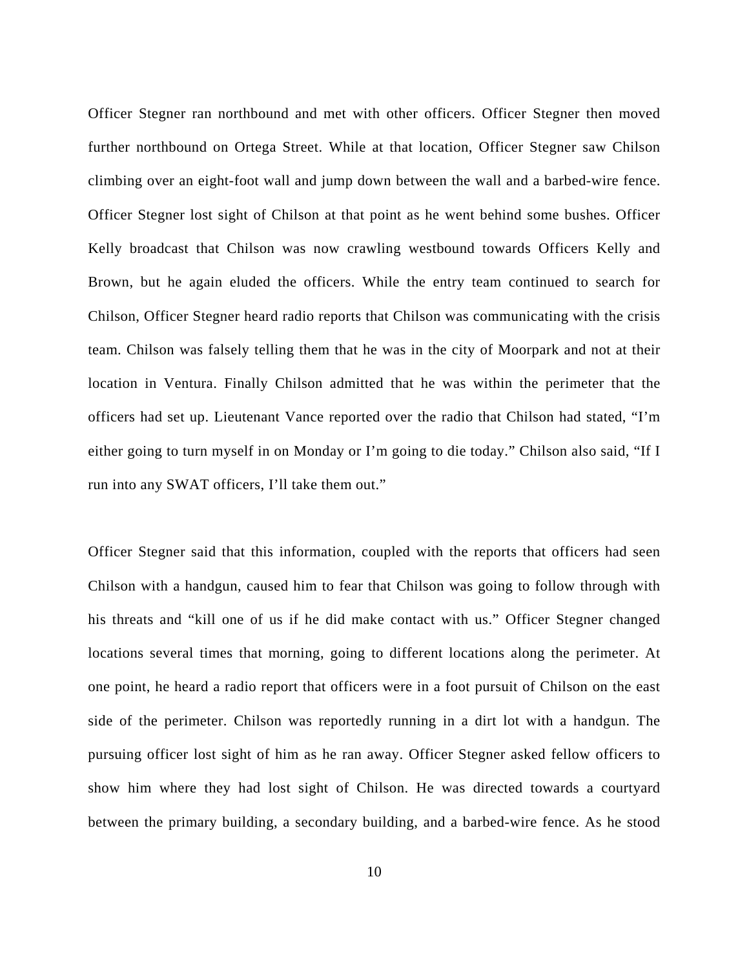Officer Stegner ran northbound and met with other officers. Officer Stegner then moved further northbound on Ortega Street. While at that location, Officer Stegner saw Chilson climbing over an eight-foot wall and jump down between the wall and a barbed-wire fence. Officer Stegner lost sight of Chilson at that point as he went behind some bushes. Officer Kelly broadcast that Chilson was now crawling westbound towards Officers Kelly and Brown, but he again eluded the officers. While the entry team continued to search for Chilson, Officer Stegner heard radio reports that Chilson was communicating with the crisis team. Chilson was falsely telling them that he was in the city of Moorpark and not at their location in Ventura. Finally Chilson admitted that he was within the perimeter that the officers had set up. Lieutenant Vance reported over the radio that Chilson had stated, "I'm either going to turn myself in on Monday or I'm going to die today." Chilson also said, "If I run into any SWAT officers, I'll take them out."

Officer Stegner said that this information, coupled with the reports that officers had seen Chilson with a handgun, caused him to fear that Chilson was going to follow through with his threats and "kill one of us if he did make contact with us." Officer Stegner changed locations several times that morning, going to different locations along the perimeter. At one point, he heard a radio report that officers were in a foot pursuit of Chilson on the east side of the perimeter. Chilson was reportedly running in a dirt lot with a handgun. The pursuing officer lost sight of him as he ran away. Officer Stegner asked fellow officers to show him where they had lost sight of Chilson. He was directed towards a courtyard between the primary building, a secondary building, and a barbed-wire fence. As he stood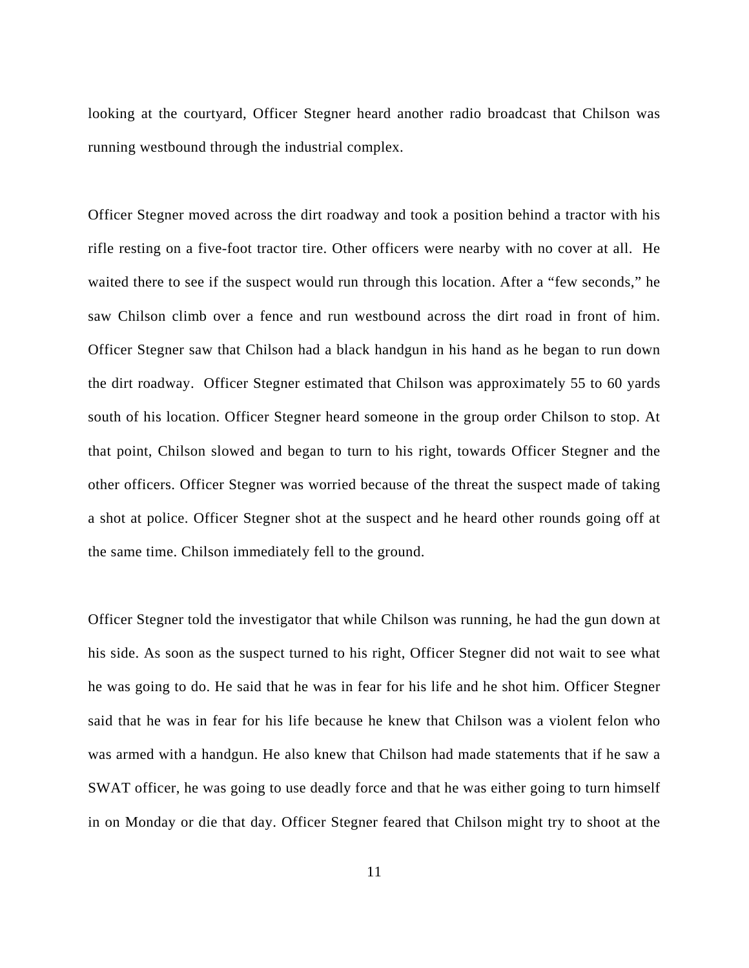looking at the courtyard, Officer Stegner heard another radio broadcast that Chilson was running westbound through the industrial complex.

Officer Stegner moved across the dirt roadway and took a position behind a tractor with his rifle resting on a five-foot tractor tire. Other officers were nearby with no cover at all. He waited there to see if the suspect would run through this location. After a "few seconds," he saw Chilson climb over a fence and run westbound across the dirt road in front of him. Officer Stegner saw that Chilson had a black handgun in his hand as he began to run down the dirt roadway. Officer Stegner estimated that Chilson was approximately 55 to 60 yards south of his location. Officer Stegner heard someone in the group order Chilson to stop. At that point, Chilson slowed and began to turn to his right, towards Officer Stegner and the other officers. Officer Stegner was worried because of the threat the suspect made of taking a shot at police. Officer Stegner shot at the suspect and he heard other rounds going off at the same time. Chilson immediately fell to the ground.

Officer Stegner told the investigator that while Chilson was running, he had the gun down at his side. As soon as the suspect turned to his right, Officer Stegner did not wait to see what he was going to do. He said that he was in fear for his life and he shot him. Officer Stegner said that he was in fear for his life because he knew that Chilson was a violent felon who was armed with a handgun. He also knew that Chilson had made statements that if he saw a SWAT officer, he was going to use deadly force and that he was either going to turn himself in on Monday or die that day. Officer Stegner feared that Chilson might try to shoot at the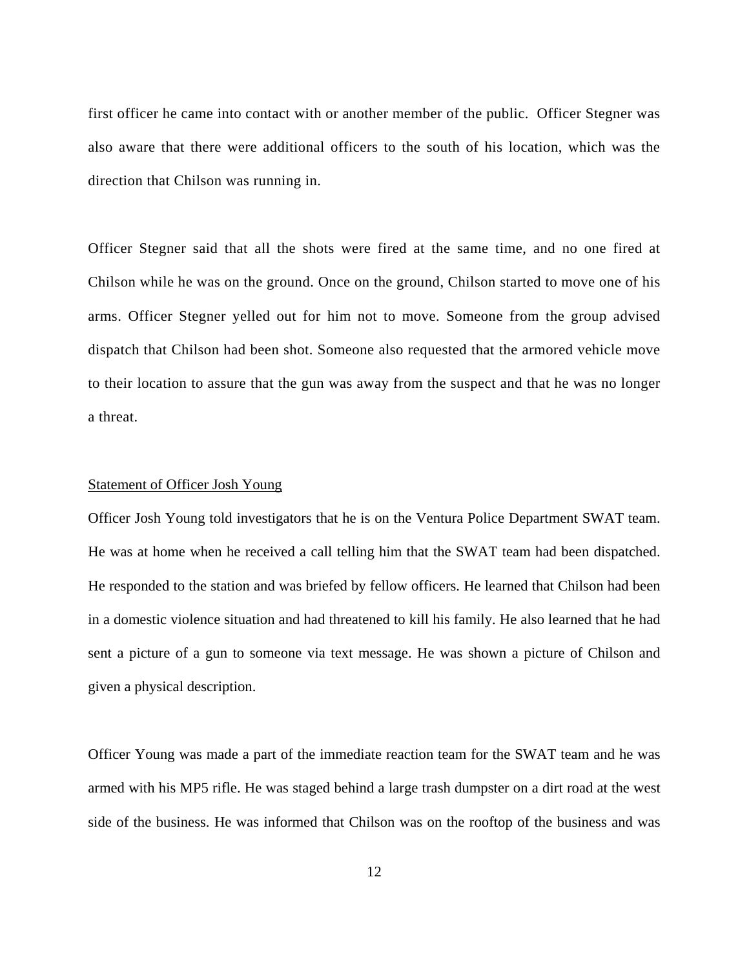first officer he came into contact with or another member of the public. Officer Stegner was also aware that there were additional officers to the south of his location, which was the direction that Chilson was running in.

Officer Stegner said that all the shots were fired at the same time, and no one fired at Chilson while he was on the ground. Once on the ground, Chilson started to move one of his arms. Officer Stegner yelled out for him not to move. Someone from the group advised dispatch that Chilson had been shot. Someone also requested that the armored vehicle move to their location to assure that the gun was away from the suspect and that he was no longer a threat.

#### Statement of Officer Josh Young

Officer Josh Young told investigators that he is on the Ventura Police Department SWAT team. He was at home when he received a call telling him that the SWAT team had been dispatched. He responded to the station and was briefed by fellow officers. He learned that Chilson had been in a domestic violence situation and had threatened to kill his family. He also learned that he had sent a picture of a gun to someone via text message. He was shown a picture of Chilson and given a physical description.

Officer Young was made a part of the immediate reaction team for the SWAT team and he was armed with his MP5 rifle. He was staged behind a large trash dumpster on a dirt road at the west side of the business. He was informed that Chilson was on the rooftop of the business and was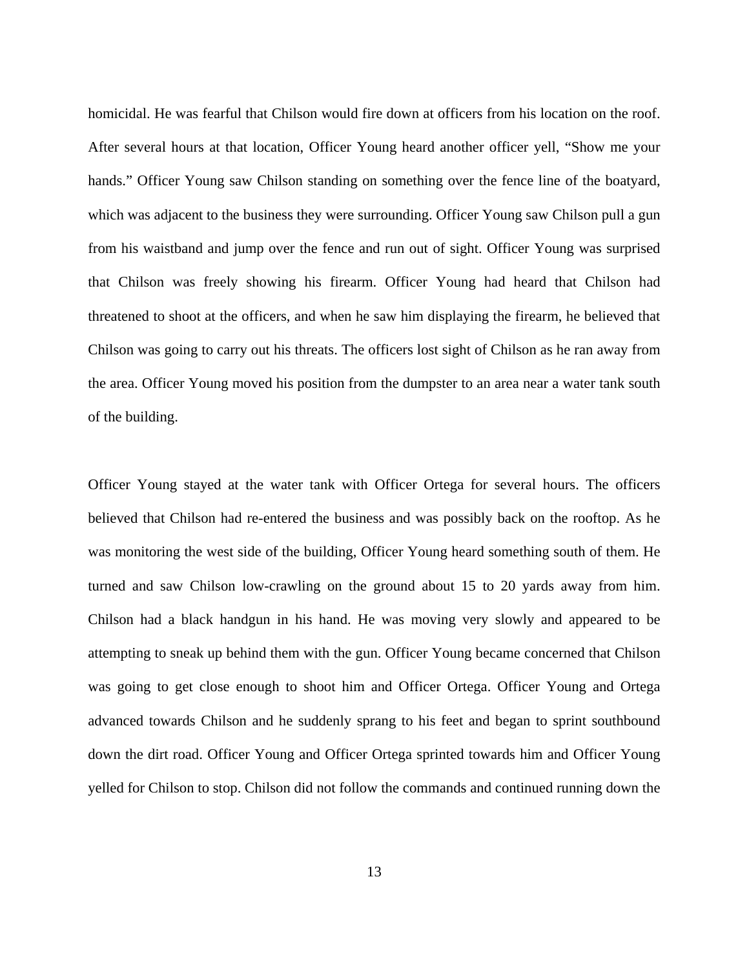homicidal. He was fearful that Chilson would fire down at officers from his location on the roof. After several hours at that location, Officer Young heard another officer yell, "Show me your hands." Officer Young saw Chilson standing on something over the fence line of the boatyard, which was adjacent to the business they were surrounding. Officer Young saw Chilson pull a gun from his waistband and jump over the fence and run out of sight. Officer Young was surprised that Chilson was freely showing his firearm. Officer Young had heard that Chilson had threatened to shoot at the officers, and when he saw him displaying the firearm, he believed that Chilson was going to carry out his threats. The officers lost sight of Chilson as he ran away from the area. Officer Young moved his position from the dumpster to an area near a water tank south of the building.

Officer Young stayed at the water tank with Officer Ortega for several hours. The officers believed that Chilson had re-entered the business and was possibly back on the rooftop. As he was monitoring the west side of the building, Officer Young heard something south of them. He turned and saw Chilson low-crawling on the ground about 15 to 20 yards away from him. Chilson had a black handgun in his hand. He was moving very slowly and appeared to be attempting to sneak up behind them with the gun. Officer Young became concerned that Chilson was going to get close enough to shoot him and Officer Ortega. Officer Young and Ortega advanced towards Chilson and he suddenly sprang to his feet and began to sprint southbound down the dirt road. Officer Young and Officer Ortega sprinted towards him and Officer Young yelled for Chilson to stop. Chilson did not follow the commands and continued running down the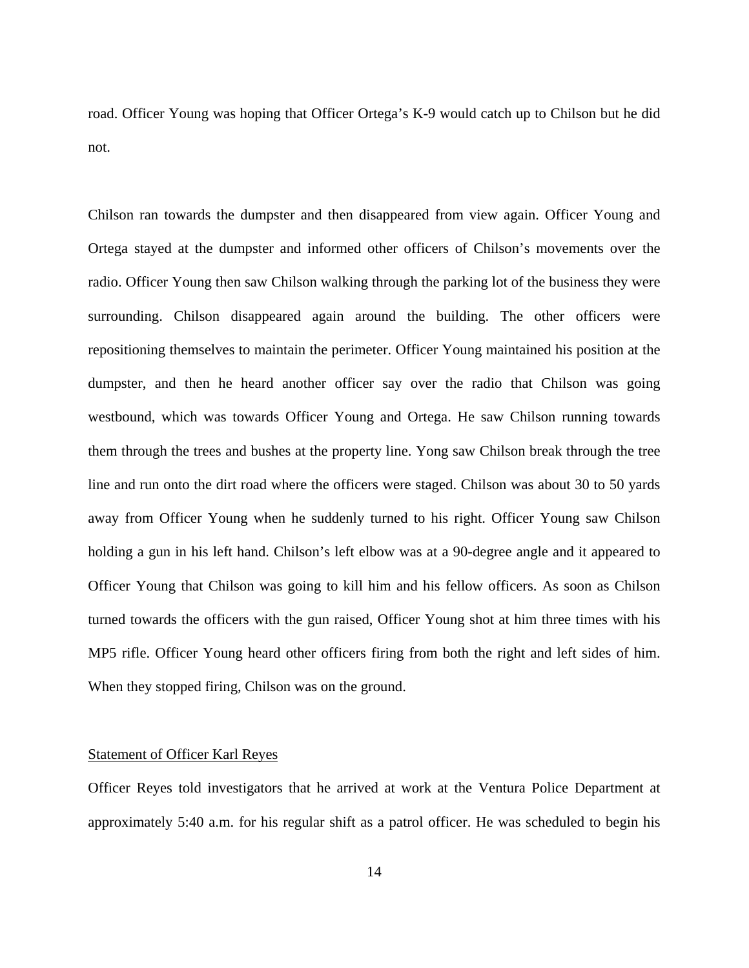road. Officer Young was hoping that Officer Ortega's K-9 would catch up to Chilson but he did not.

Chilson ran towards the dumpster and then disappeared from view again. Officer Young and Ortega stayed at the dumpster and informed other officers of Chilson's movements over the radio. Officer Young then saw Chilson walking through the parking lot of the business they were surrounding. Chilson disappeared again around the building. The other officers were repositioning themselves to maintain the perimeter. Officer Young maintained his position at the dumpster, and then he heard another officer say over the radio that Chilson was going westbound, which was towards Officer Young and Ortega. He saw Chilson running towards them through the trees and bushes at the property line. Yong saw Chilson break through the tree line and run onto the dirt road where the officers were staged. Chilson was about 30 to 50 yards away from Officer Young when he suddenly turned to his right. Officer Young saw Chilson holding a gun in his left hand. Chilson's left elbow was at a 90-degree angle and it appeared to Officer Young that Chilson was going to kill him and his fellow officers. As soon as Chilson turned towards the officers with the gun raised, Officer Young shot at him three times with his MP5 rifle. Officer Young heard other officers firing from both the right and left sides of him. When they stopped firing, Chilson was on the ground.

#### Statement of Officer Karl Reyes

Officer Reyes told investigators that he arrived at work at the Ventura Police Department at approximately 5:40 a.m. for his regular shift as a patrol officer. He was scheduled to begin his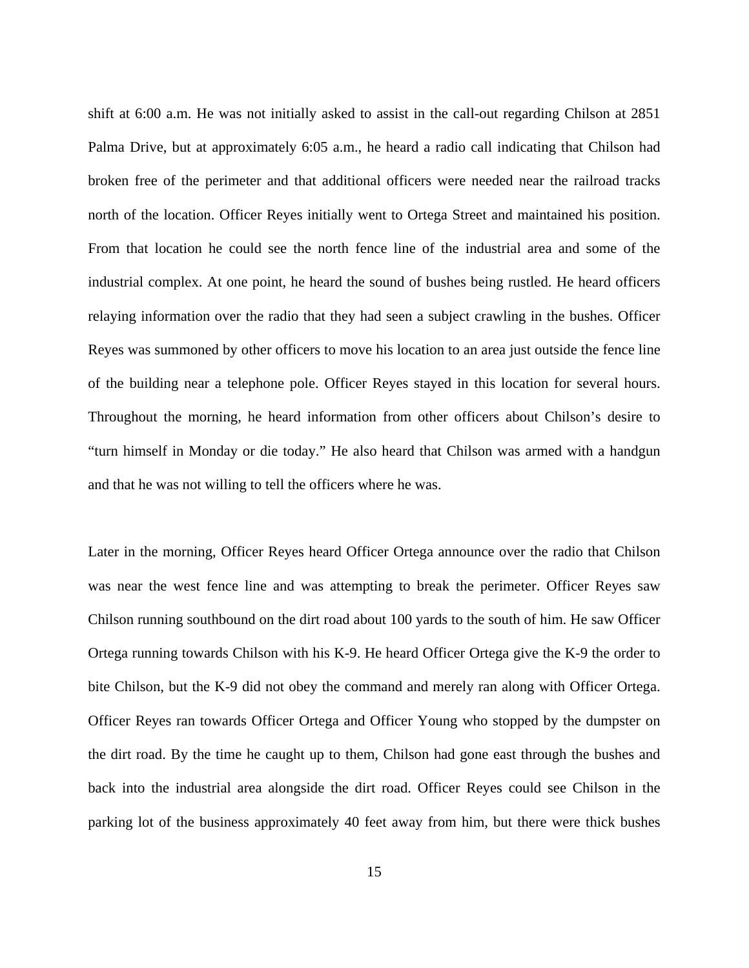shift at 6:00 a.m. He was not initially asked to assist in the call-out regarding Chilson at 2851 Palma Drive, but at approximately 6:05 a.m., he heard a radio call indicating that Chilson had broken free of the perimeter and that additional officers were needed near the railroad tracks north of the location. Officer Reyes initially went to Ortega Street and maintained his position. From that location he could see the north fence line of the industrial area and some of the industrial complex. At one point, he heard the sound of bushes being rustled. He heard officers relaying information over the radio that they had seen a subject crawling in the bushes. Officer Reyes was summoned by other officers to move his location to an area just outside the fence line of the building near a telephone pole. Officer Reyes stayed in this location for several hours. Throughout the morning, he heard information from other officers about Chilson's desire to "turn himself in Monday or die today." He also heard that Chilson was armed with a handgun and that he was not willing to tell the officers where he was.

Later in the morning, Officer Reyes heard Officer Ortega announce over the radio that Chilson was near the west fence line and was attempting to break the perimeter. Officer Reyes saw Chilson running southbound on the dirt road about 100 yards to the south of him. He saw Officer Ortega running towards Chilson with his K-9. He heard Officer Ortega give the K-9 the order to bite Chilson, but the K-9 did not obey the command and merely ran along with Officer Ortega. Officer Reyes ran towards Officer Ortega and Officer Young who stopped by the dumpster on the dirt road. By the time he caught up to them, Chilson had gone east through the bushes and back into the industrial area alongside the dirt road. Officer Reyes could see Chilson in the parking lot of the business approximately 40 feet away from him, but there were thick bushes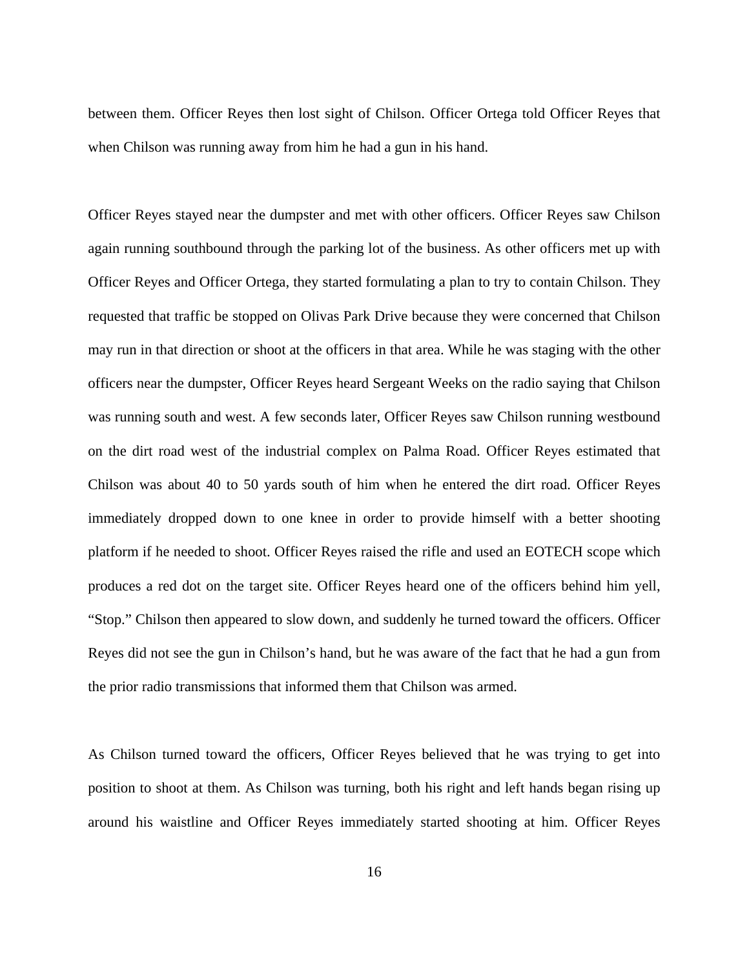between them. Officer Reyes then lost sight of Chilson. Officer Ortega told Officer Reyes that when Chilson was running away from him he had a gun in his hand.

Officer Reyes stayed near the dumpster and met with other officers. Officer Reyes saw Chilson again running southbound through the parking lot of the business. As other officers met up with Officer Reyes and Officer Ortega, they started formulating a plan to try to contain Chilson. They requested that traffic be stopped on Olivas Park Drive because they were concerned that Chilson may run in that direction or shoot at the officers in that area. While he was staging with the other officers near the dumpster, Officer Reyes heard Sergeant Weeks on the radio saying that Chilson was running south and west. A few seconds later, Officer Reyes saw Chilson running westbound on the dirt road west of the industrial complex on Palma Road. Officer Reyes estimated that Chilson was about 40 to 50 yards south of him when he entered the dirt road. Officer Reyes immediately dropped down to one knee in order to provide himself with a better shooting platform if he needed to shoot. Officer Reyes raised the rifle and used an EOTECH scope which produces a red dot on the target site. Officer Reyes heard one of the officers behind him yell, "Stop." Chilson then appeared to slow down, and suddenly he turned toward the officers. Officer Reyes did not see the gun in Chilson's hand, but he was aware of the fact that he had a gun from the prior radio transmissions that informed them that Chilson was armed.

As Chilson turned toward the officers, Officer Reyes believed that he was trying to get into position to shoot at them. As Chilson was turning, both his right and left hands began rising up around his waistline and Officer Reyes immediately started shooting at him. Officer Reyes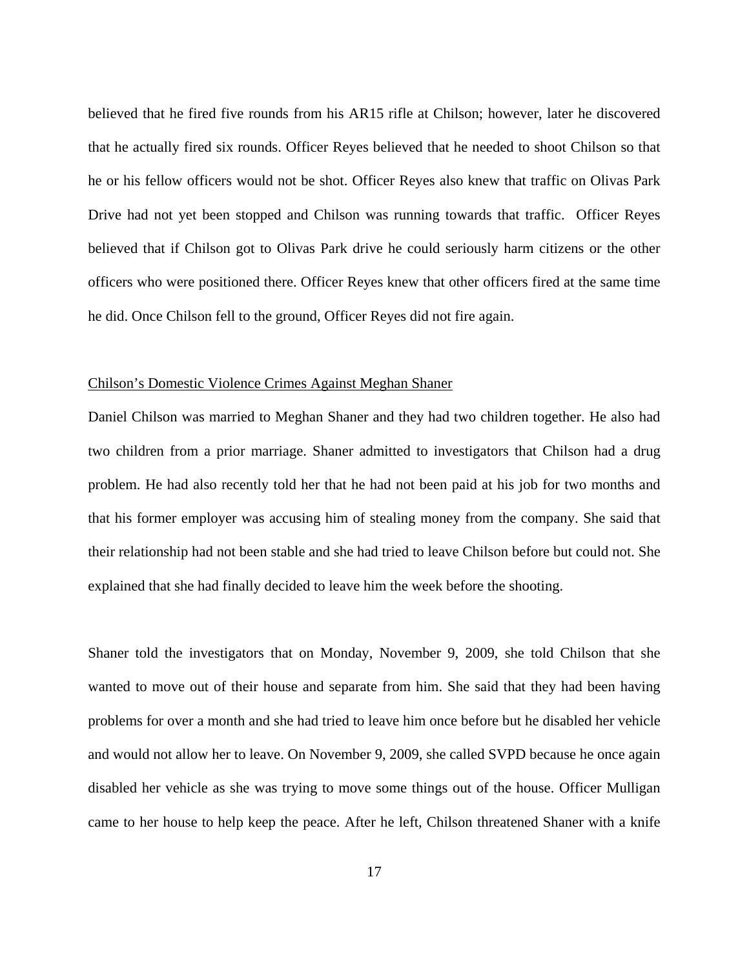believed that he fired five rounds from his AR15 rifle at Chilson; however, later he discovered that he actually fired six rounds. Officer Reyes believed that he needed to shoot Chilson so that he or his fellow officers would not be shot. Officer Reyes also knew that traffic on Olivas Park Drive had not yet been stopped and Chilson was running towards that traffic. Officer Reyes believed that if Chilson got to Olivas Park drive he could seriously harm citizens or the other officers who were positioned there. Officer Reyes knew that other officers fired at the same time he did. Once Chilson fell to the ground, Officer Reyes did not fire again.

#### Chilson's Domestic Violence Crimes Against Meghan Shaner

Daniel Chilson was married to Meghan Shaner and they had two children together. He also had two children from a prior marriage. Shaner admitted to investigators that Chilson had a drug problem. He had also recently told her that he had not been paid at his job for two months and that his former employer was accusing him of stealing money from the company. She said that their relationship had not been stable and she had tried to leave Chilson before but could not. She explained that she had finally decided to leave him the week before the shooting.

Shaner told the investigators that on Monday, November 9, 2009, she told Chilson that she wanted to move out of their house and separate from him. She said that they had been having problems for over a month and she had tried to leave him once before but he disabled her vehicle and would not allow her to leave. On November 9, 2009, she called SVPD because he once again disabled her vehicle as she was trying to move some things out of the house. Officer Mulligan came to her house to help keep the peace. After he left, Chilson threatened Shaner with a knife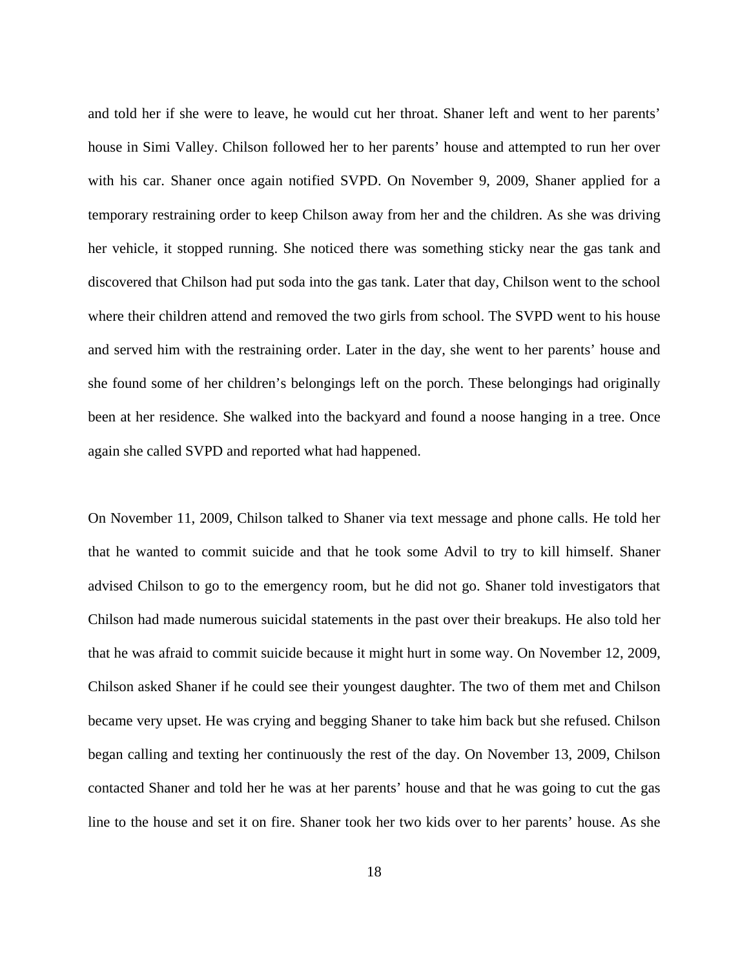and told her if she were to leave, he would cut her throat. Shaner left and went to her parents' house in Simi Valley. Chilson followed her to her parents' house and attempted to run her over with his car. Shaner once again notified SVPD. On November 9, 2009, Shaner applied for a temporary restraining order to keep Chilson away from her and the children. As she was driving her vehicle, it stopped running. She noticed there was something sticky near the gas tank and discovered that Chilson had put soda into the gas tank. Later that day, Chilson went to the school where their children attend and removed the two girls from school. The SVPD went to his house and served him with the restraining order. Later in the day, she went to her parents' house and she found some of her children's belongings left on the porch. These belongings had originally been at her residence. She walked into the backyard and found a noose hanging in a tree. Once again she called SVPD and reported what had happened.

On November 11, 2009, Chilson talked to Shaner via text message and phone calls. He told her that he wanted to commit suicide and that he took some Advil to try to kill himself. Shaner advised Chilson to go to the emergency room, but he did not go. Shaner told investigators that Chilson had made numerous suicidal statements in the past over their breakups. He also told her that he was afraid to commit suicide because it might hurt in some way. On November 12, 2009, Chilson asked Shaner if he could see their youngest daughter. The two of them met and Chilson became very upset. He was crying and begging Shaner to take him back but she refused. Chilson began calling and texting her continuously the rest of the day. On November 13, 2009, Chilson contacted Shaner and told her he was at her parents' house and that he was going to cut the gas line to the house and set it on fire. Shaner took her two kids over to her parents' house. As she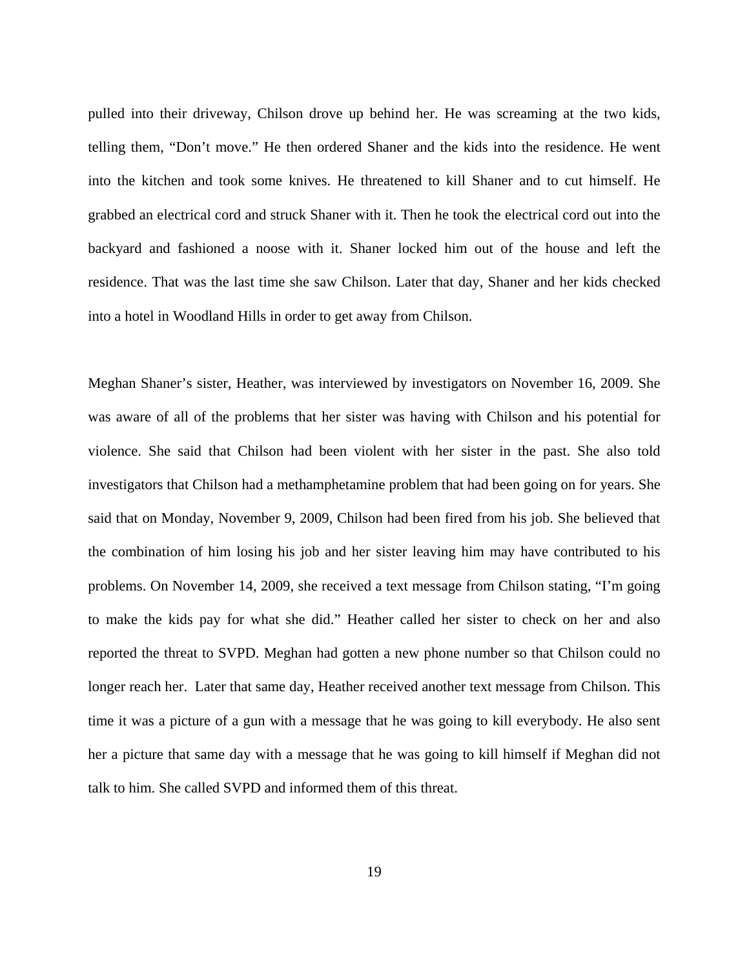pulled into their driveway, Chilson drove up behind her. He was screaming at the two kids, telling them, "Don't move." He then ordered Shaner and the kids into the residence. He went into the kitchen and took some knives. He threatened to kill Shaner and to cut himself. He grabbed an electrical cord and struck Shaner with it. Then he took the electrical cord out into the backyard and fashioned a noose with it. Shaner locked him out of the house and left the residence. That was the last time she saw Chilson. Later that day, Shaner and her kids checked into a hotel in Woodland Hills in order to get away from Chilson.

Meghan Shaner's sister, Heather, was interviewed by investigators on November 16, 2009. She was aware of all of the problems that her sister was having with Chilson and his potential for violence. She said that Chilson had been violent with her sister in the past. She also told investigators that Chilson had a methamphetamine problem that had been going on for years. She said that on Monday, November 9, 2009, Chilson had been fired from his job. She believed that the combination of him losing his job and her sister leaving him may have contributed to his problems. On November 14, 2009, she received a text message from Chilson stating, "I'm going to make the kids pay for what she did." Heather called her sister to check on her and also reported the threat to SVPD. Meghan had gotten a new phone number so that Chilson could no longer reach her. Later that same day, Heather received another text message from Chilson. This time it was a picture of a gun with a message that he was going to kill everybody. He also sent her a picture that same day with a message that he was going to kill himself if Meghan did not talk to him. She called SVPD and informed them of this threat.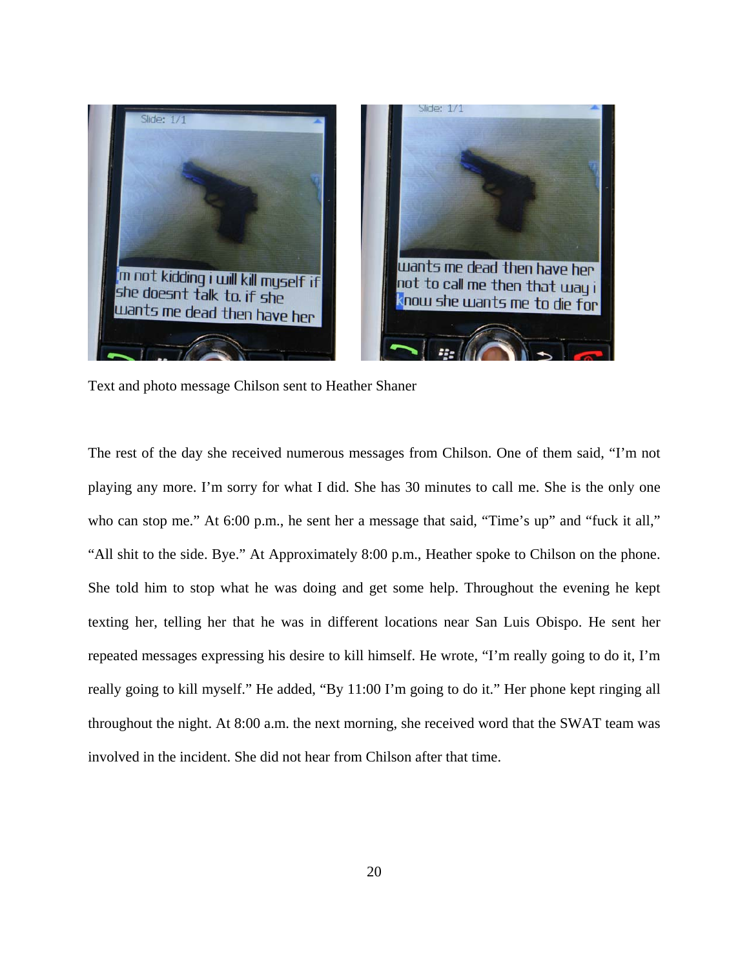

Text and photo message Chilson sent to Heather Shaner

The rest of the day she received numerous messages from Chilson. One of them said, "I'm not playing any more. I'm sorry for what I did. She has 30 minutes to call me. She is the only one who can stop me." At 6:00 p.m., he sent her a message that said, "Time's up" and "fuck it all," "All shit to the side. Bye." At Approximately 8:00 p.m., Heather spoke to Chilson on the phone. She told him to stop what he was doing and get some help. Throughout the evening he kept texting her, telling her that he was in different locations near San Luis Obispo. He sent her repeated messages expressing his desire to kill himself. He wrote, "I'm really going to do it, I'm really going to kill myself." He added, "By 11:00 I'm going to do it." Her phone kept ringing all throughout the night. At 8:00 a.m. the next morning, she received word that the SWAT team was involved in the incident. She did not hear from Chilson after that time.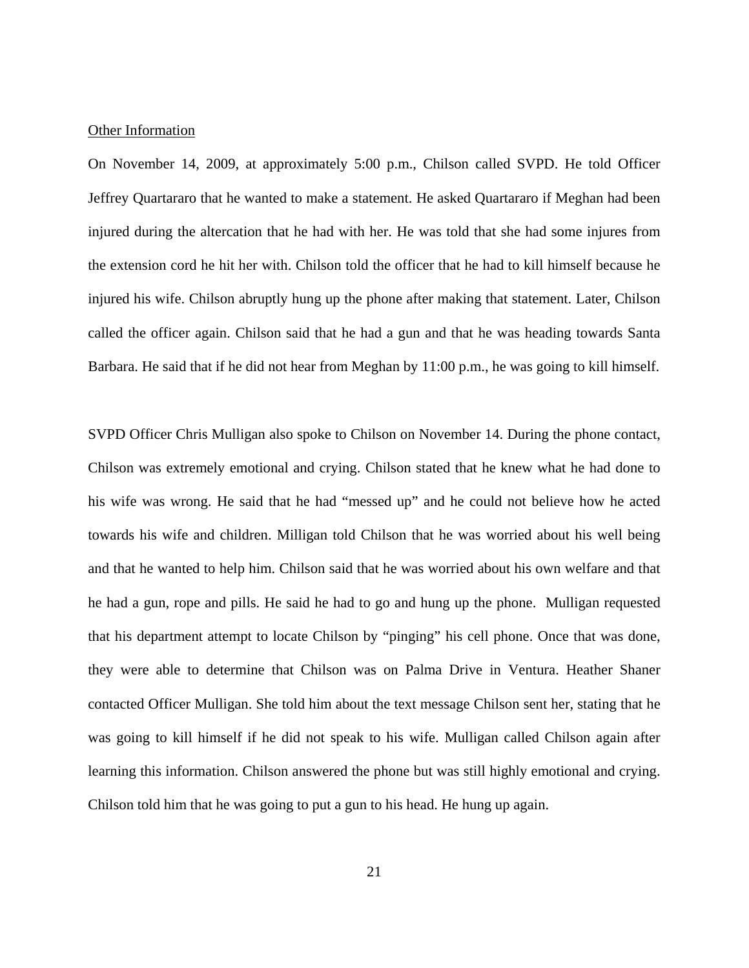#### Other Information

On November 14, 2009, at approximately 5:00 p.m., Chilson called SVPD. He told Officer Jeffrey Quartararo that he wanted to make a statement. He asked Quartararo if Meghan had been injured during the altercation that he had with her. He was told that she had some injures from the extension cord he hit her with. Chilson told the officer that he had to kill himself because he injured his wife. Chilson abruptly hung up the phone after making that statement. Later, Chilson called the officer again. Chilson said that he had a gun and that he was heading towards Santa Barbara. He said that if he did not hear from Meghan by 11:00 p.m., he was going to kill himself.

SVPD Officer Chris Mulligan also spoke to Chilson on November 14. During the phone contact, Chilson was extremely emotional and crying. Chilson stated that he knew what he had done to his wife was wrong. He said that he had "messed up" and he could not believe how he acted towards his wife and children. Milligan told Chilson that he was worried about his well being and that he wanted to help him. Chilson said that he was worried about his own welfare and that he had a gun, rope and pills. He said he had to go and hung up the phone. Mulligan requested that his department attempt to locate Chilson by "pinging" his cell phone. Once that was done, they were able to determine that Chilson was on Palma Drive in Ventura. Heather Shaner contacted Officer Mulligan. She told him about the text message Chilson sent her, stating that he was going to kill himself if he did not speak to his wife. Mulligan called Chilson again after learning this information. Chilson answered the phone but was still highly emotional and crying. Chilson told him that he was going to put a gun to his head. He hung up again.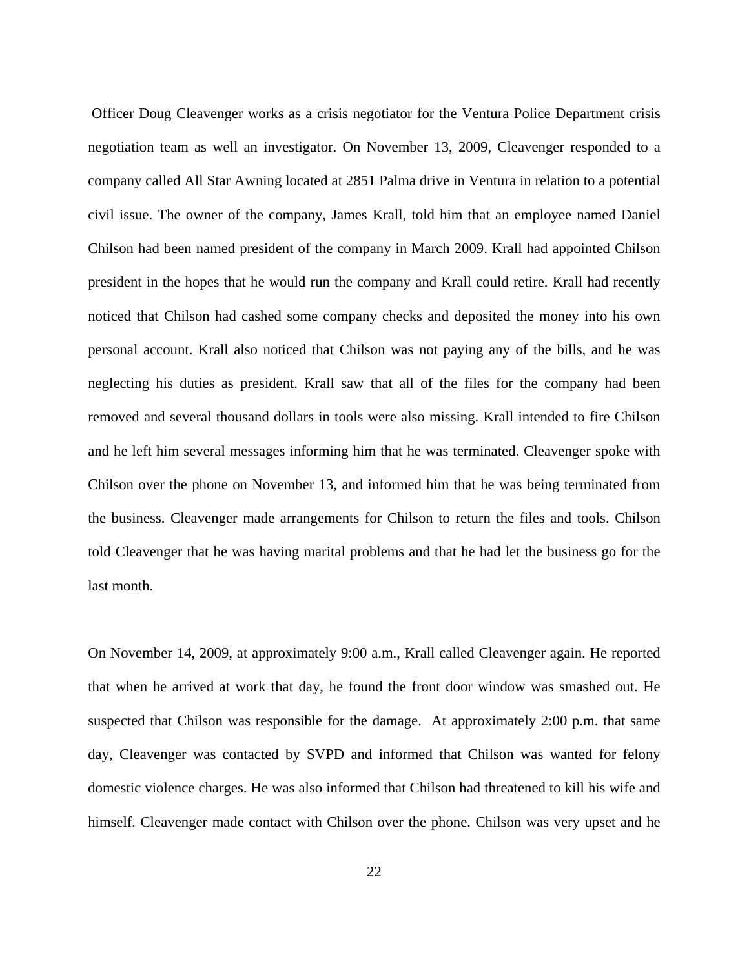Officer Doug Cleavenger works as a crisis negotiator for the Ventura Police Department crisis negotiation team as well an investigator. On November 13, 2009, Cleavenger responded to a company called All Star Awning located at 2851 Palma drive in Ventura in relation to a potential civil issue. The owner of the company, James Krall, told him that an employee named Daniel Chilson had been named president of the company in March 2009. Krall had appointed Chilson president in the hopes that he would run the company and Krall could retire. Krall had recently noticed that Chilson had cashed some company checks and deposited the money into his own personal account. Krall also noticed that Chilson was not paying any of the bills, and he was neglecting his duties as president. Krall saw that all of the files for the company had been removed and several thousand dollars in tools were also missing. Krall intended to fire Chilson and he left him several messages informing him that he was terminated. Cleavenger spoke with Chilson over the phone on November 13, and informed him that he was being terminated from the business. Cleavenger made arrangements for Chilson to return the files and tools. Chilson told Cleavenger that he was having marital problems and that he had let the business go for the last month.

On November 14, 2009, at approximately 9:00 a.m., Krall called Cleavenger again. He reported that when he arrived at work that day, he found the front door window was smashed out. He suspected that Chilson was responsible for the damage. At approximately 2:00 p.m. that same day, Cleavenger was contacted by SVPD and informed that Chilson was wanted for felony domestic violence charges. He was also informed that Chilson had threatened to kill his wife and himself. Cleavenger made contact with Chilson over the phone. Chilson was very upset and he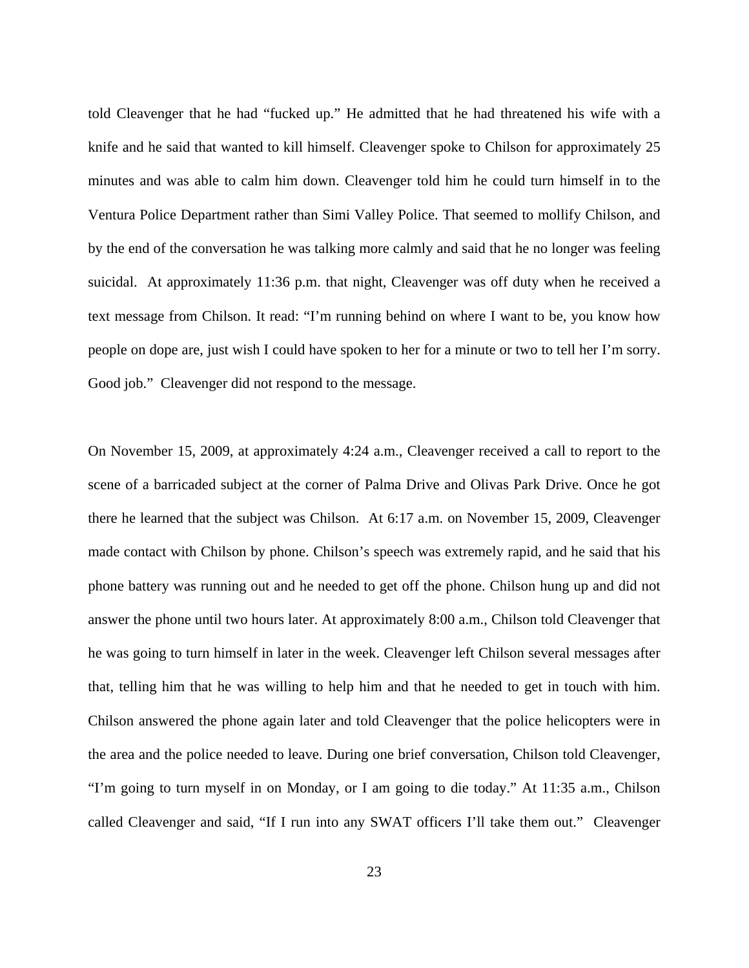told Cleavenger that he had "fucked up." He admitted that he had threatened his wife with a knife and he said that wanted to kill himself. Cleavenger spoke to Chilson for approximately 25 minutes and was able to calm him down. Cleavenger told him he could turn himself in to the Ventura Police Department rather than Simi Valley Police. That seemed to mollify Chilson, and by the end of the conversation he was talking more calmly and said that he no longer was feeling suicidal. At approximately 11:36 p.m. that night, Cleavenger was off duty when he received a text message from Chilson. It read: "I'm running behind on where I want to be, you know how people on dope are, just wish I could have spoken to her for a minute or two to tell her I'm sorry. Good job." Cleavenger did not respond to the message.

On November 15, 2009, at approximately 4:24 a.m., Cleavenger received a call to report to the scene of a barricaded subject at the corner of Palma Drive and Olivas Park Drive. Once he got there he learned that the subject was Chilson. At 6:17 a.m. on November 15, 2009, Cleavenger made contact with Chilson by phone. Chilson's speech was extremely rapid, and he said that his phone battery was running out and he needed to get off the phone. Chilson hung up and did not answer the phone until two hours later. At approximately 8:00 a.m., Chilson told Cleavenger that he was going to turn himself in later in the week. Cleavenger left Chilson several messages after that, telling him that he was willing to help him and that he needed to get in touch with him. Chilson answered the phone again later and told Cleavenger that the police helicopters were in the area and the police needed to leave. During one brief conversation, Chilson told Cleavenger, "I'm going to turn myself in on Monday, or I am going to die today." At 11:35 a.m., Chilson called Cleavenger and said, "If I run into any SWAT officers I'll take them out." Cleavenger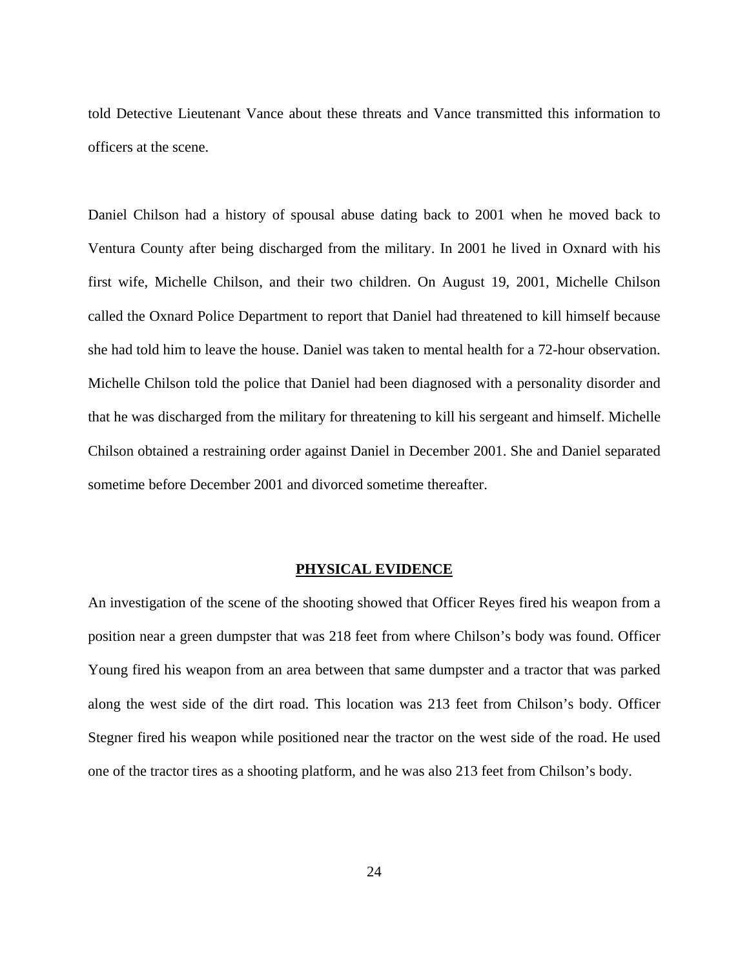told Detective Lieutenant Vance about these threats and Vance transmitted this information to officers at the scene.

Daniel Chilson had a history of spousal abuse dating back to 2001 when he moved back to Ventura County after being discharged from the military. In 2001 he lived in Oxnard with his first wife, Michelle Chilson, and their two children. On August 19, 2001, Michelle Chilson called the Oxnard Police Department to report that Daniel had threatened to kill himself because she had told him to leave the house. Daniel was taken to mental health for a 72-hour observation. Michelle Chilson told the police that Daniel had been diagnosed with a personality disorder and that he was discharged from the military for threatening to kill his sergeant and himself. Michelle Chilson obtained a restraining order against Daniel in December 2001. She and Daniel separated sometime before December 2001 and divorced sometime thereafter.

#### **PHYSICAL EVIDENCE**

An investigation of the scene of the shooting showed that Officer Reyes fired his weapon from a position near a green dumpster that was 218 feet from where Chilson's body was found. Officer Young fired his weapon from an area between that same dumpster and a tractor that was parked along the west side of the dirt road. This location was 213 feet from Chilson's body. Officer Stegner fired his weapon while positioned near the tractor on the west side of the road. He used one of the tractor tires as a shooting platform, and he was also 213 feet from Chilson's body.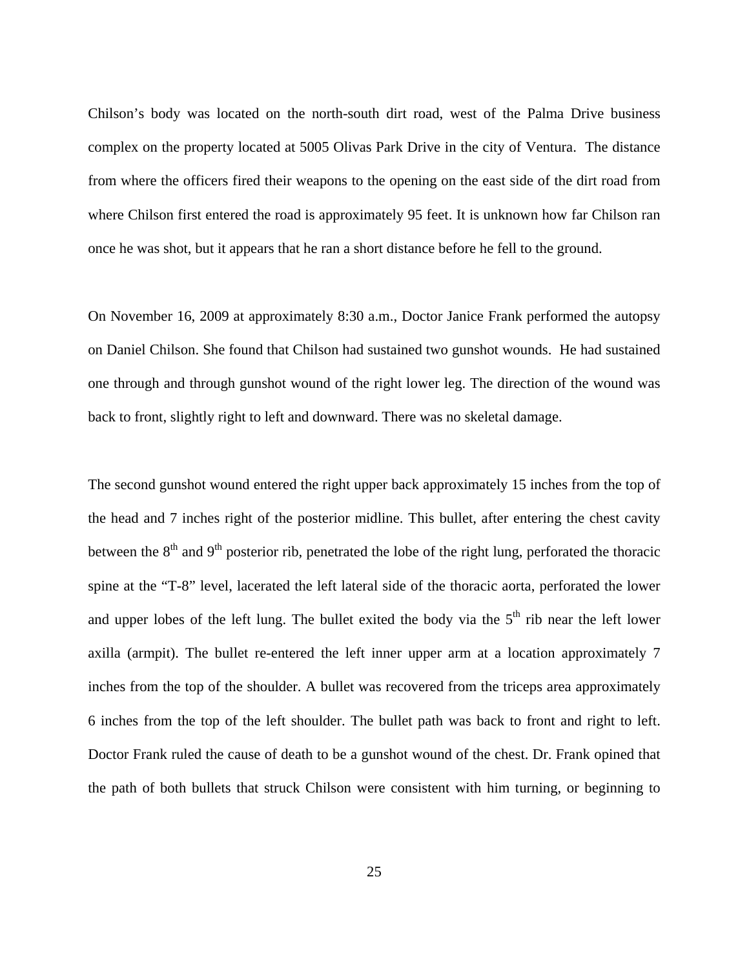Chilson's body was located on the north-south dirt road, west of the Palma Drive business complex on the property located at 5005 Olivas Park Drive in the city of Ventura. The distance from where the officers fired their weapons to the opening on the east side of the dirt road from where Chilson first entered the road is approximately 95 feet. It is unknown how far Chilson ran once he was shot, but it appears that he ran a short distance before he fell to the ground.

On November 16, 2009 at approximately 8:30 a.m., Doctor Janice Frank performed the autopsy on Daniel Chilson. She found that Chilson had sustained two gunshot wounds. He had sustained one through and through gunshot wound of the right lower leg. The direction of the wound was back to front, slightly right to left and downward. There was no skeletal damage.

The second gunshot wound entered the right upper back approximately 15 inches from the top of the head and 7 inches right of the posterior midline. This bullet, after entering the chest cavity between the  $8<sup>th</sup>$  and  $9<sup>th</sup>$  posterior rib, penetrated the lobe of the right lung, perforated the thoracic spine at the "T-8" level, lacerated the left lateral side of the thoracic aorta, perforated the lower and upper lobes of the left lung. The bullet exited the body via the  $5<sup>th</sup>$  rib near the left lower axilla (armpit). The bullet re-entered the left inner upper arm at a location approximately 7 inches from the top of the shoulder. A bullet was recovered from the triceps area approximately 6 inches from the top of the left shoulder. The bullet path was back to front and right to left. Doctor Frank ruled the cause of death to be a gunshot wound of the chest. Dr. Frank opined that the path of both bullets that struck Chilson were consistent with him turning, or beginning to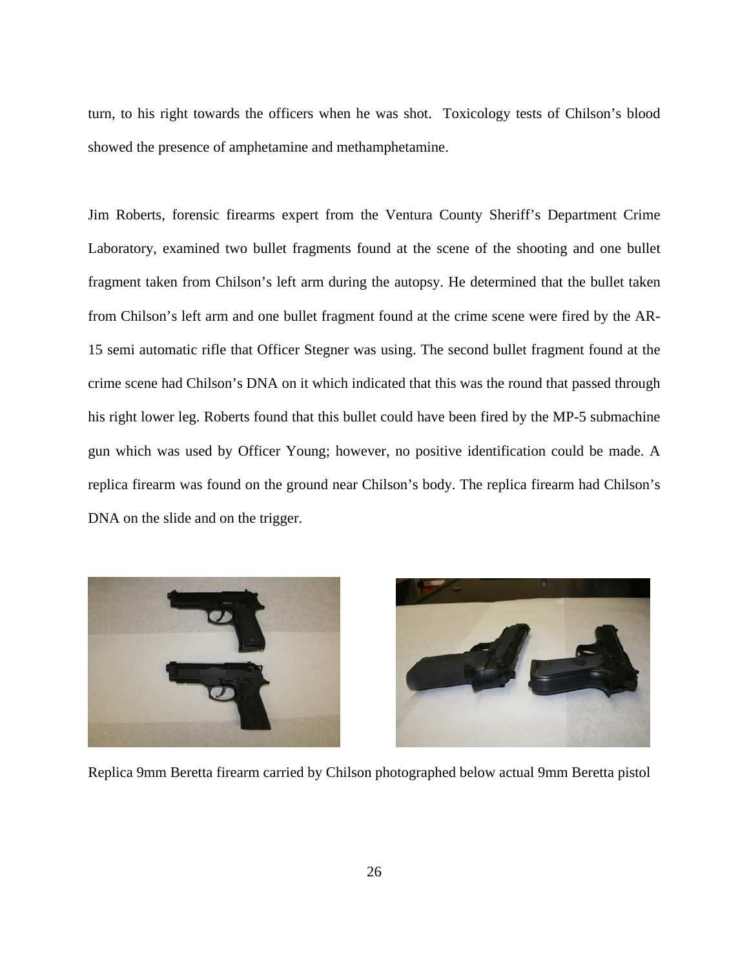turn, to his right towards the officers when he was shot. Toxicology tests of Chilson's blood showed the presence of amphetamine and methamphetamine.

Jim Roberts, forensic firearms expert from the Ventura County Sheriff's Department Crime Laboratory, examined two bullet fragments found at the scene of the shooting and one bullet fragment taken from Chilson's left arm during the autopsy. He determined that the bullet taken from Chilson's left arm and one bullet fragment found at the crime scene were fired by the AR-15 semi automatic rifle that Officer Stegner was using. The second bullet fragment found at the crime scene had Chilson's DNA on it which indicated that this was the round that passed through his right lower leg. Roberts found that this bullet could have been fired by the MP-5 submachine gun which was used by Officer Young; however, no positive identification could be made. A replica firearm was found on the ground near Chilson's body. The replica firearm had Chilson's DNA on the slide and on the trigger.





Replica 9mm Beretta firearm carried by Chilson photographed below actual 9mm Beretta pistol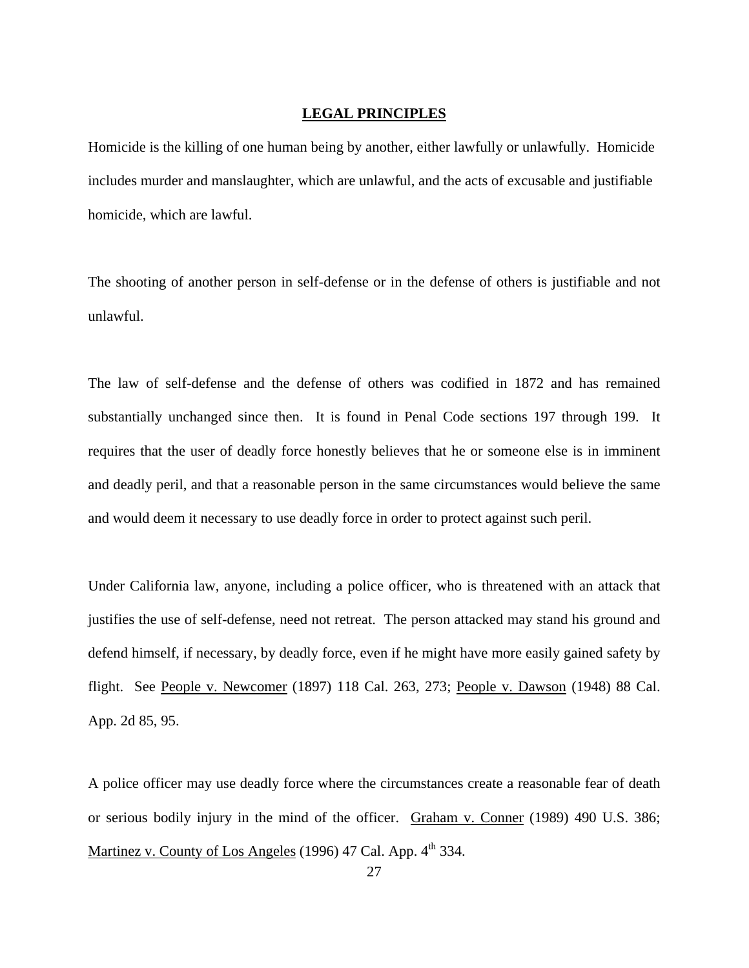#### **LEGAL PRINCIPLES**

Homicide is the killing of one human being by another, either lawfully or unlawfully. Homicide includes murder and manslaughter, which are unlawful, and the acts of excusable and justifiable homicide, which are lawful.

The shooting of another person in self-defense or in the defense of others is justifiable and not unlawful.

The law of self-defense and the defense of others was codified in 1872 and has remained substantially unchanged since then. It is found in Penal Code sections 197 through 199. It requires that the user of deadly force honestly believes that he or someone else is in imminent and deadly peril, and that a reasonable person in the same circumstances would believe the same and would deem it necessary to use deadly force in order to protect against such peril.

Under California law, anyone, including a police officer, who is threatened with an attack that justifies the use of self-defense, need not retreat. The person attacked may stand his ground and defend himself, if necessary, by deadly force, even if he might have more easily gained safety by flight. See People v. Newcomer (1897) 118 Cal. 263, 273; People v. Dawson (1948) 88 Cal. App. 2d 85, 95.

A police officer may use deadly force where the circumstances create a reasonable fear of death or serious bodily injury in the mind of the officer. Graham v. Conner (1989) 490 U.S. 386; Martinez v. County of Los Angeles (1996) 47 Cal. App. 4<sup>th</sup> 334.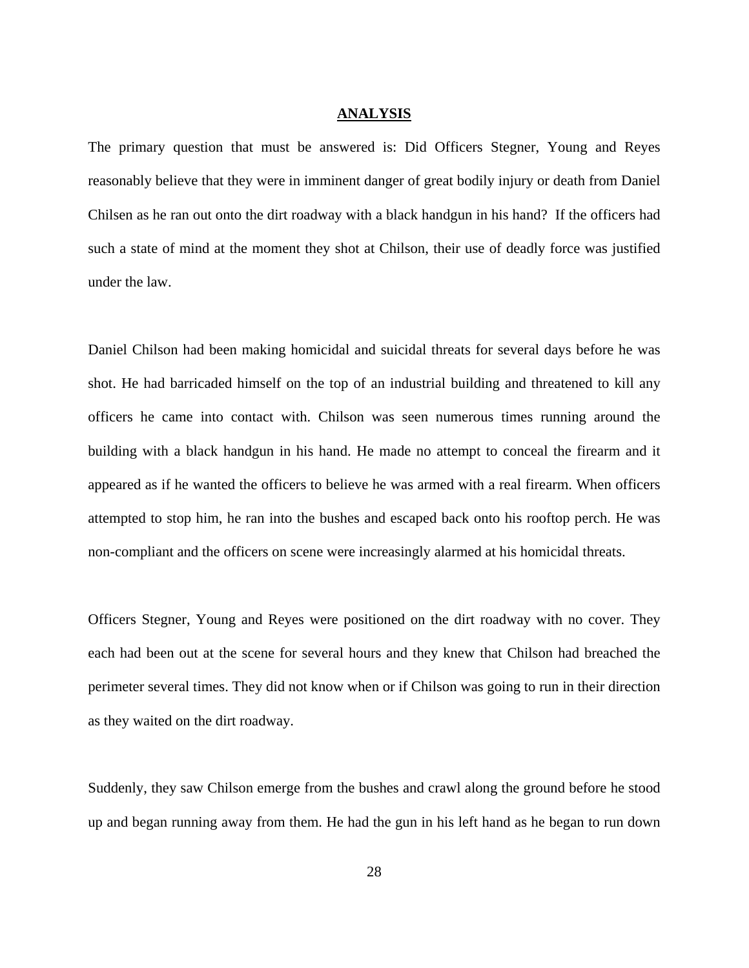#### **ANALYSIS**

The primary question that must be answered is: Did Officers Stegner, Young and Reyes reasonably believe that they were in imminent danger of great bodily injury or death from Daniel Chilsen as he ran out onto the dirt roadway with a black handgun in his hand? If the officers had such a state of mind at the moment they shot at Chilson, their use of deadly force was justified under the law.

Daniel Chilson had been making homicidal and suicidal threats for several days before he was shot. He had barricaded himself on the top of an industrial building and threatened to kill any officers he came into contact with. Chilson was seen numerous times running around the building with a black handgun in his hand. He made no attempt to conceal the firearm and it appeared as if he wanted the officers to believe he was armed with a real firearm. When officers attempted to stop him, he ran into the bushes and escaped back onto his rooftop perch. He was non-compliant and the officers on scene were increasingly alarmed at his homicidal threats.

Officers Stegner, Young and Reyes were positioned on the dirt roadway with no cover. They each had been out at the scene for several hours and they knew that Chilson had breached the perimeter several times. They did not know when or if Chilson was going to run in their direction as they waited on the dirt roadway.

Suddenly, they saw Chilson emerge from the bushes and crawl along the ground before he stood up and began running away from them. He had the gun in his left hand as he began to run down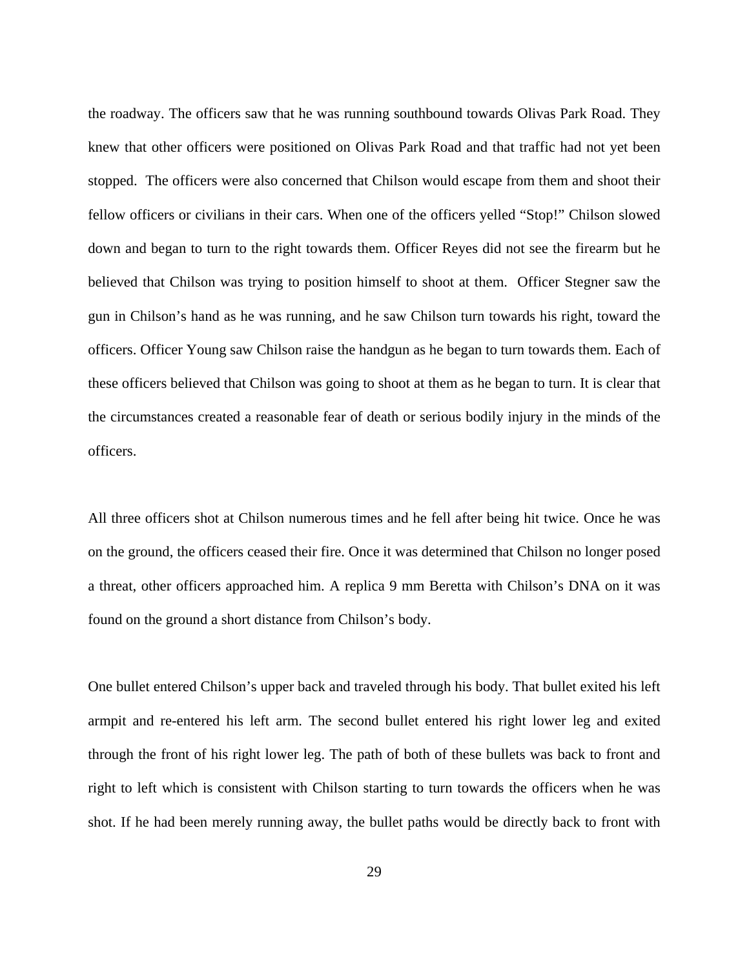the roadway. The officers saw that he was running southbound towards Olivas Park Road. They knew that other officers were positioned on Olivas Park Road and that traffic had not yet been stopped. The officers were also concerned that Chilson would escape from them and shoot their fellow officers or civilians in their cars. When one of the officers yelled "Stop!" Chilson slowed down and began to turn to the right towards them. Officer Reyes did not see the firearm but he believed that Chilson was trying to position himself to shoot at them. Officer Stegner saw the gun in Chilson's hand as he was running, and he saw Chilson turn towards his right, toward the officers. Officer Young saw Chilson raise the handgun as he began to turn towards them. Each of these officers believed that Chilson was going to shoot at them as he began to turn. It is clear that the circumstances created a reasonable fear of death or serious bodily injury in the minds of the officers.

All three officers shot at Chilson numerous times and he fell after being hit twice. Once he was on the ground, the officers ceased their fire. Once it was determined that Chilson no longer posed a threat, other officers approached him. A replica 9 mm Beretta with Chilson's DNA on it was found on the ground a short distance from Chilson's body.

One bullet entered Chilson's upper back and traveled through his body. That bullet exited his left armpit and re-entered his left arm. The second bullet entered his right lower leg and exited through the front of his right lower leg. The path of both of these bullets was back to front and right to left which is consistent with Chilson starting to turn towards the officers when he was shot. If he had been merely running away, the bullet paths would be directly back to front with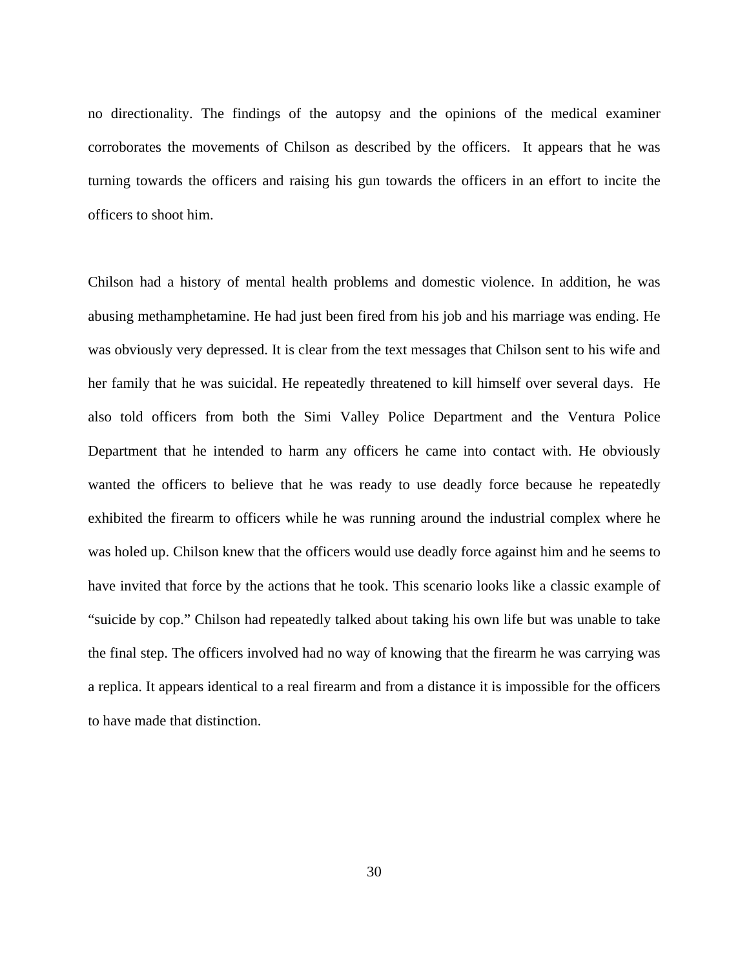no directionality. The findings of the autopsy and the opinions of the medical examiner corroborates the movements of Chilson as described by the officers. It appears that he was turning towards the officers and raising his gun towards the officers in an effort to incite the officers to shoot him.

Chilson had a history of mental health problems and domestic violence. In addition, he was abusing methamphetamine. He had just been fired from his job and his marriage was ending. He was obviously very depressed. It is clear from the text messages that Chilson sent to his wife and her family that he was suicidal. He repeatedly threatened to kill himself over several days. He also told officers from both the Simi Valley Police Department and the Ventura Police Department that he intended to harm any officers he came into contact with. He obviously wanted the officers to believe that he was ready to use deadly force because he repeatedly exhibited the firearm to officers while he was running around the industrial complex where he was holed up. Chilson knew that the officers would use deadly force against him and he seems to have invited that force by the actions that he took. This scenario looks like a classic example of "suicide by cop." Chilson had repeatedly talked about taking his own life but was unable to take the final step. The officers involved had no way of knowing that the firearm he was carrying was a replica. It appears identical to a real firearm and from a distance it is impossible for the officers to have made that distinction.